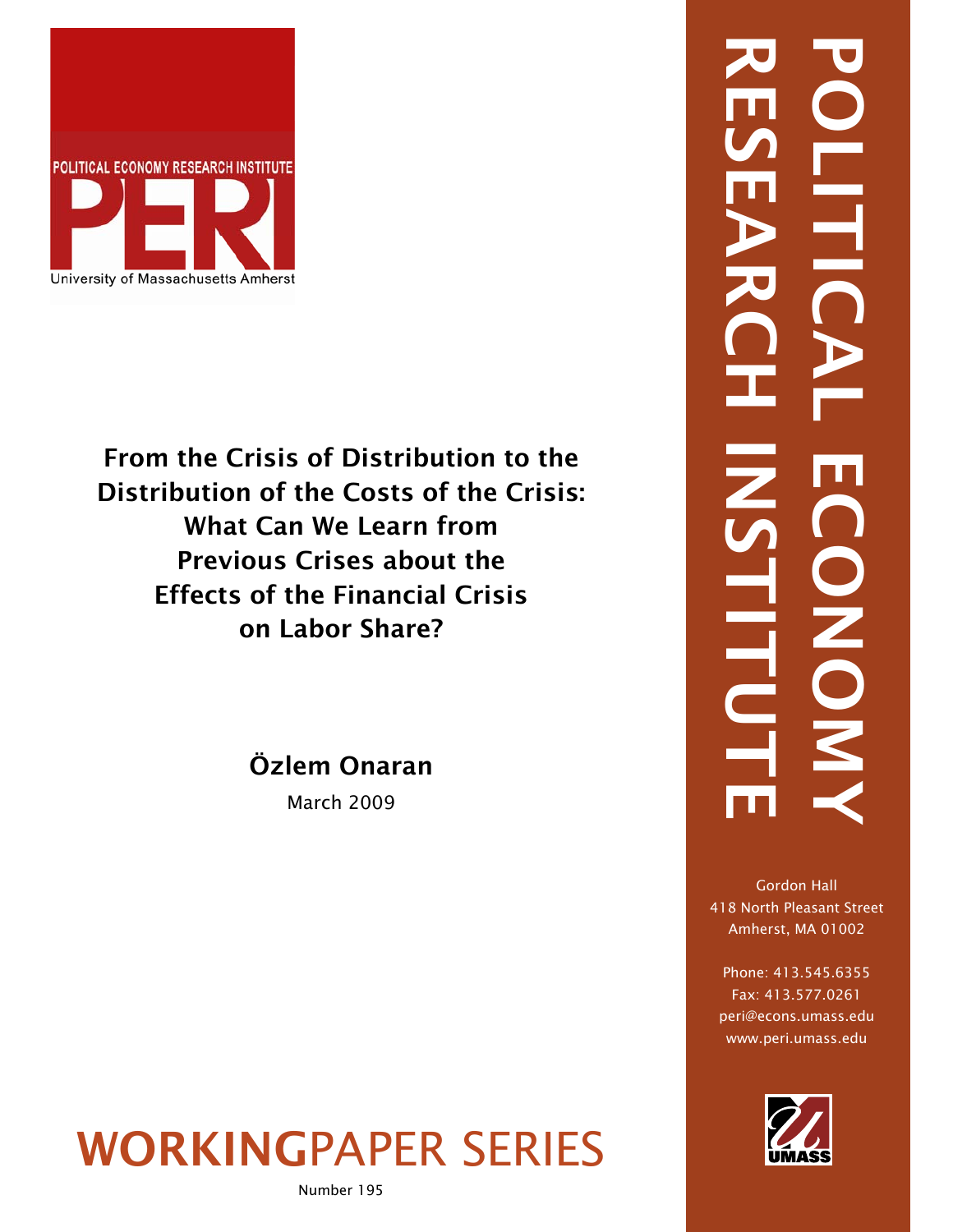

From the Crisis of Distribution to the Distribution of the Costs of the Crisis: What Can We Learn from Previous Crises about the Effects of the Financial Crisis on Labor Share?

Özlem Onaran

March 2009

# WORKINGPAPER SERIES

# RESEARCH INSTITUTE POLITICAL ECONOMY ONO. **HTC**

Gordon Hall 418 North Pleasant Street Amherst, MA 01002

Phone: 413.545.6355 Fax: 413.577.0261 peri@econs.umass.edu www.peri.umass.edu

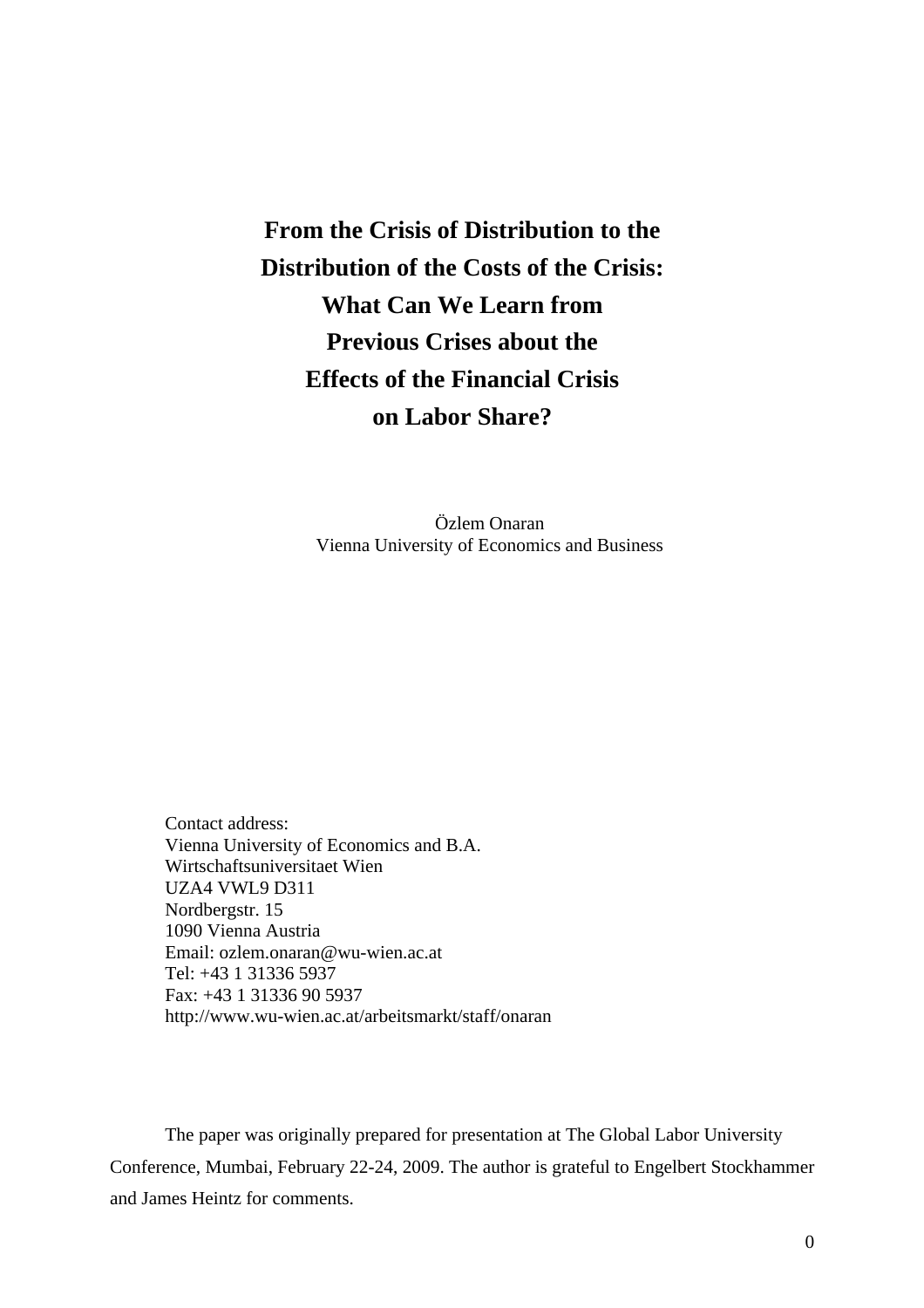## **From the Crisis of Distribution to the Distribution of the Costs of the Crisis: What Can We Learn from Previous Crises about the Effects of the Financial Crisis on Labor Share?**

Özlem Onaran Vienna University of Economics and Business

Contact address: Vienna University of Economics and B.A. Wirtschaftsuniversitaet Wien UZA4 VWL9 D311 Nordbergstr. 15 1090 Vienna Austria Email: ozlem.onaran@wu-wien.ac.at Tel: +43 1 31336 5937 Fax: +43 1 31336 90 5937 http://www.wu-wien.ac.at/arbeitsmarkt/staff/onaran

The paper was originally prepared for presentation at The Global Labor University Conference, Mumbai, February 22-24, 2009. The author is grateful to Engelbert Stockhammer and James Heintz for comments.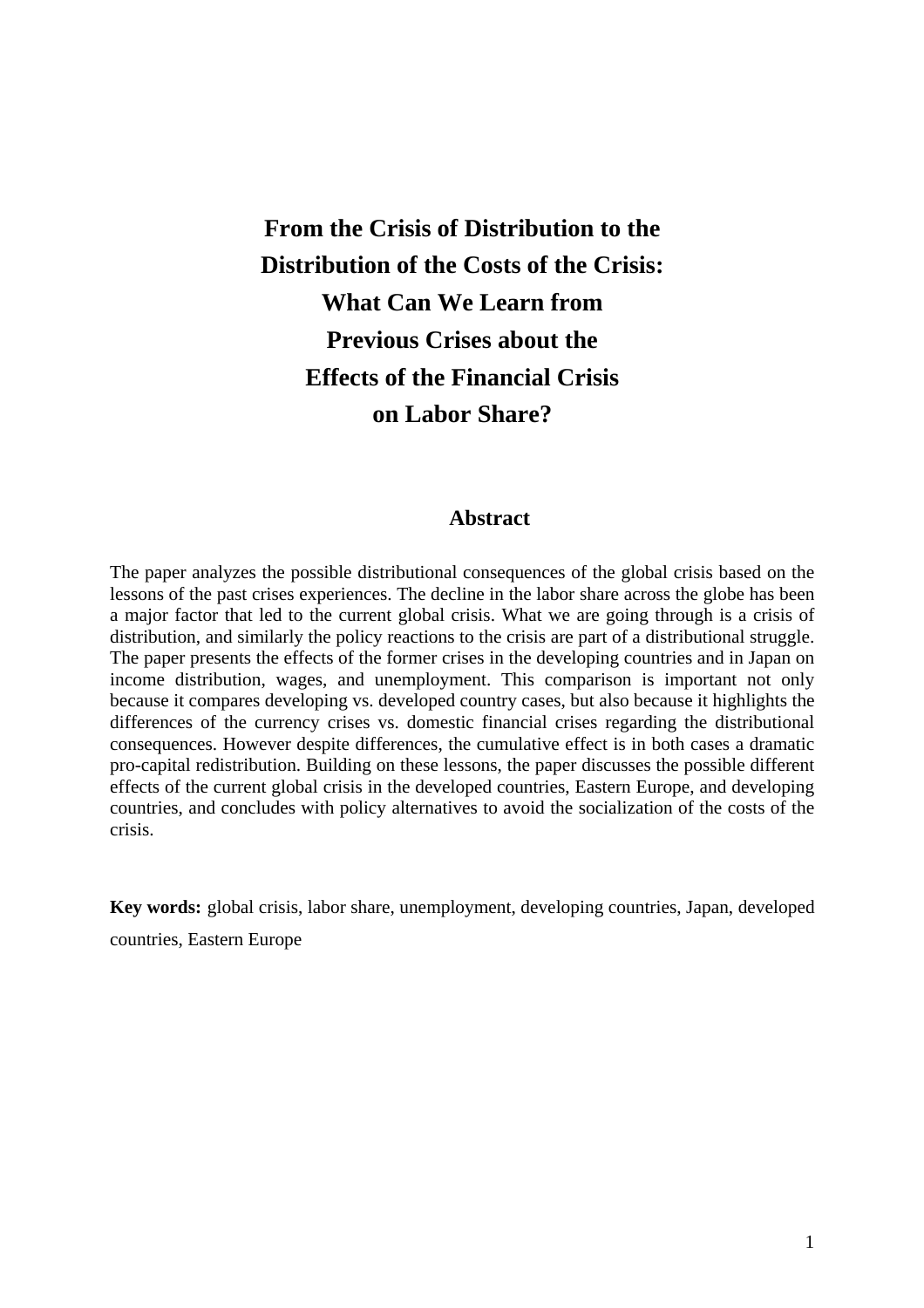## **From the Crisis of Distribution to the Distribution of the Costs of the Crisis: What Can We Learn from Previous Crises about the Effects of the Financial Crisis on Labor Share?**

#### **Abstract**

The paper analyzes the possible distributional consequences of the global crisis based on the lessons of the past crises experiences. The decline in the labor share across the globe has been a major factor that led to the current global crisis. What we are going through is a crisis of distribution, and similarly the policy reactions to the crisis are part of a distributional struggle. The paper presents the effects of the former crises in the developing countries and in Japan on income distribution, wages, and unemployment. This comparison is important not only because it compares developing vs. developed country cases, but also because it highlights the differences of the currency crises vs. domestic financial crises regarding the distributional consequences. However despite differences, the cumulative effect is in both cases a dramatic pro-capital redistribution. Building on these lessons, the paper discusses the possible different effects of the current global crisis in the developed countries, Eastern Europe, and developing countries, and concludes with policy alternatives to avoid the socialization of the costs of the crisis.

**Key words:** global crisis, labor share, unemployment, developing countries, Japan, developed countries, Eastern Europe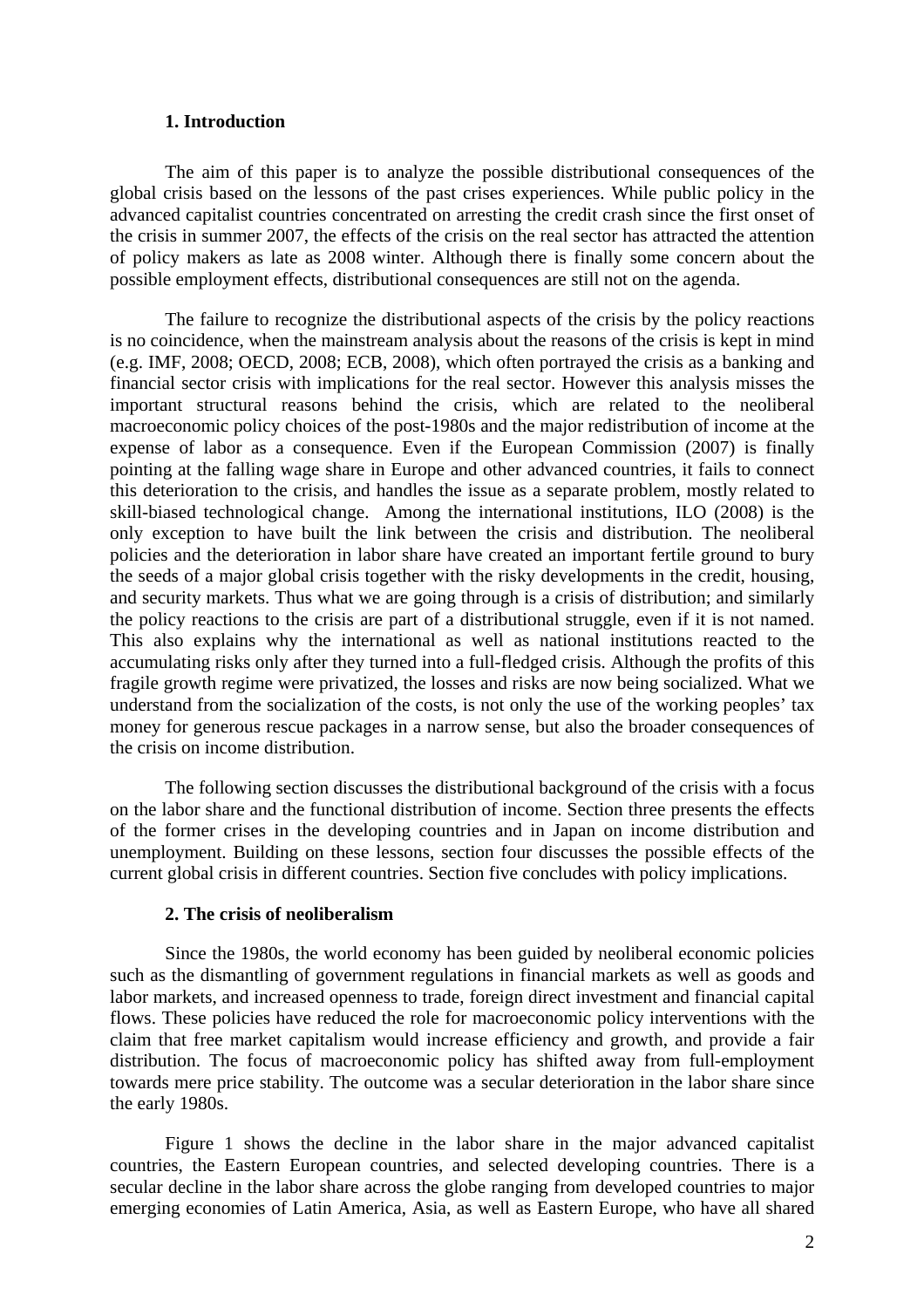#### **1. Introduction**

The aim of this paper is to analyze the possible distributional consequences of the global crisis based on the lessons of the past crises experiences. While public policy in the advanced capitalist countries concentrated on arresting the credit crash since the first onset of the crisis in summer 2007, the effects of the crisis on the real sector has attracted the attention of policy makers as late as 2008 winter. Although there is finally some concern about the possible employment effects, distributional consequences are still not on the agenda.

The failure to recognize the distributional aspects of the crisis by the policy reactions is no coincidence, when the mainstream analysis about the reasons of the crisis is kept in mind (e.g. IMF, 2008; OECD, 2008; ECB, 2008), which often portrayed the crisis as a banking and financial sector crisis with implications for the real sector. However this analysis misses the important structural reasons behind the crisis, which are related to the neoliberal macroeconomic policy choices of the post-1980s and the major redistribution of income at the expense of labor as a consequence. Even if the European Commission (2007) is finally pointing at the falling wage share in Europe and other advanced countries, it fails to connect this deterioration to the crisis, and handles the issue as a separate problem, mostly related to skill-biased technological change. Among the international institutions, ILO (2008) is the only exception to have built the link between the crisis and distribution. The neoliberal policies and the deterioration in labor share have created an important fertile ground to bury the seeds of a major global crisis together with the risky developments in the credit, housing, and security markets. Thus what we are going through is a crisis of distribution; and similarly the policy reactions to the crisis are part of a distributional struggle, even if it is not named. This also explains why the international as well as national institutions reacted to the accumulating risks only after they turned into a full-fledged crisis. Although the profits of this fragile growth regime were privatized, the losses and risks are now being socialized. What we understand from the socialization of the costs, is not only the use of the working peoples' tax money for generous rescue packages in a narrow sense, but also the broader consequences of the crisis on income distribution.

The following section discusses the distributional background of the crisis with a focus on the labor share and the functional distribution of income. Section three presents the effects of the former crises in the developing countries and in Japan on income distribution and unemployment. Building on these lessons, section four discusses the possible effects of the current global crisis in different countries. Section five concludes with policy implications.

#### **2. The crisis of neoliberalism**

Since the 1980s, the world economy has been guided by neoliberal economic policies such as the dismantling of government regulations in financial markets as well as goods and labor markets, and increased openness to trade, foreign direct investment and financial capital flows. These policies have reduced the role for macroeconomic policy interventions with the claim that free market capitalism would increase efficiency and growth, and provide a fair distribution. The focus of macroeconomic policy has shifted away from full-employment towards mere price stability. The outcome was a secular deterioration in the labor share since the early 1980s.

Figure 1 shows the decline in the labor share in the major advanced capitalist countries, the Eastern European countries, and selected developing countries. There is a secular decline in the labor share across the globe ranging from developed countries to major emerging economies of Latin America, Asia, as well as Eastern Europe, who have all shared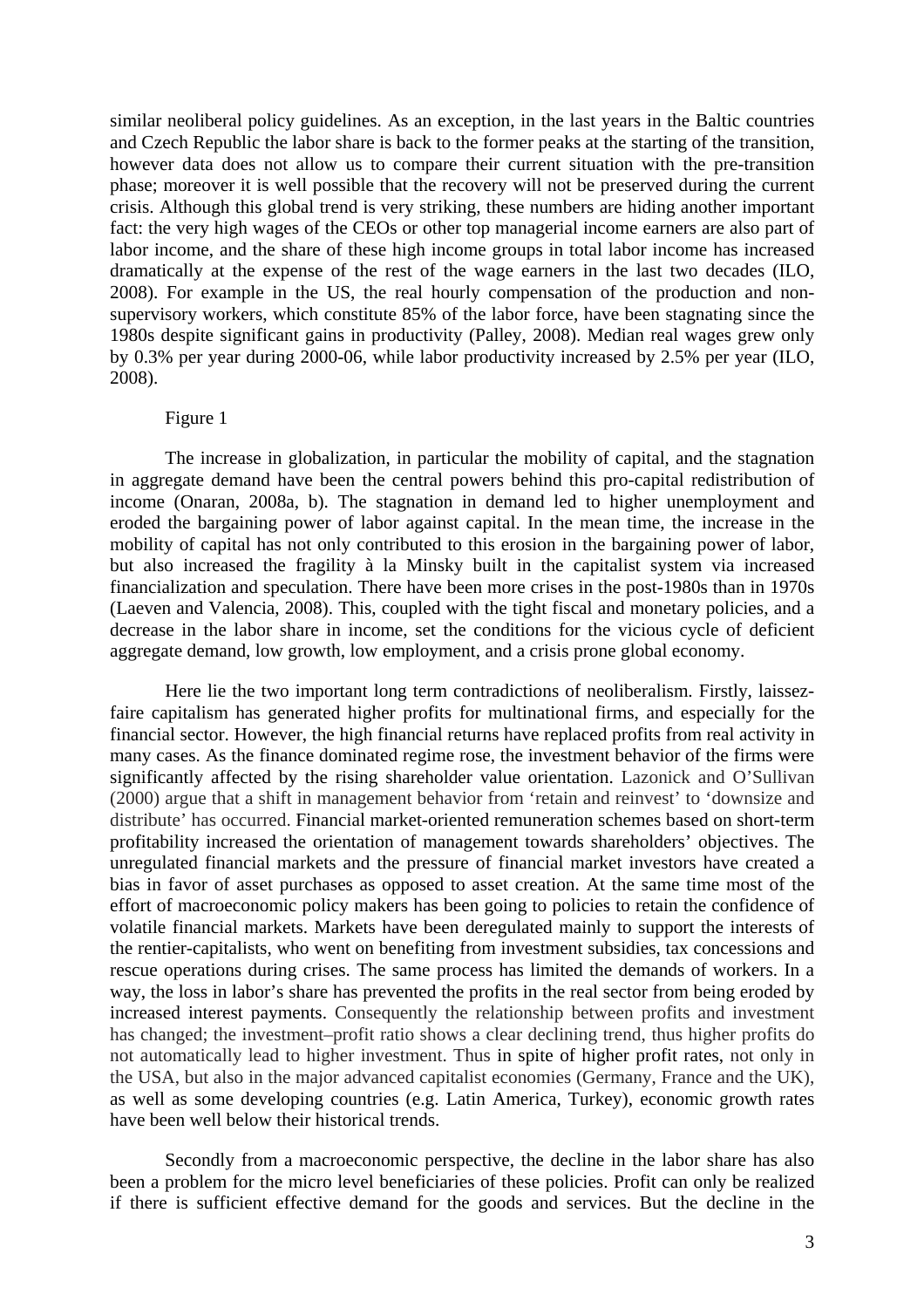similar neoliberal policy guidelines. As an exception, in the last years in the Baltic countries and Czech Republic the labor share is back to the former peaks at the starting of the transition, however data does not allow us to compare their current situation with the pre-transition phase; moreover it is well possible that the recovery will not be preserved during the current crisis. Although this global trend is very striking, these numbers are hiding another important fact: the very high wages of the CEOs or other top managerial income earners are also part of labor income, and the share of these high income groups in total labor income has increased dramatically at the expense of the rest of the wage earners in the last two decades (ILO, 2008). For example in the US, the real hourly compensation of the production and nonsupervisory workers, which constitute 85% of the labor force, have been stagnating since the 1980s despite significant gains in productivity (Palley, 2008). Median real wages grew only by 0.3% per year during 2000-06, while labor productivity increased by 2.5% per year (ILO, 2008).

#### Figure 1

The increase in globalization, in particular the mobility of capital, and the stagnation in aggregate demand have been the central powers behind this pro-capital redistribution of income (Onaran, 2008a, b). The stagnation in demand led to higher unemployment and eroded the bargaining power of labor against capital. In the mean time, the increase in the mobility of capital has not only contributed to this erosion in the bargaining power of labor, but also increased the fragility à la Minsky built in the capitalist system via increased financialization and speculation. There have been more crises in the post-1980s than in 1970s (Laeven and Valencia, 2008). This, coupled with the tight fiscal and monetary policies, and a decrease in the labor share in income, set the conditions for the vicious cycle of deficient aggregate demand, low growth, low employment, and a crisis prone global economy.

Here lie the two important long term contradictions of neoliberalism. Firstly, laissezfaire capitalism has generated higher profits for multinational firms, and especially for the financial sector. However, the high financial returns have replaced profits from real activity in many cases. As the finance dominated regime rose, the investment behavior of the firms were significantly affected by the rising shareholder value orientation. Lazonick and O'Sullivan (2000) argue that a shift in management behavior from 'retain and reinvest' to 'downsize and distribute' has occurred. Financial market-oriented remuneration schemes based on short-term profitability increased the orientation of management towards shareholders' objectives. The unregulated financial markets and the pressure of financial market investors have created a bias in favor of asset purchases as opposed to asset creation. At the same time most of the effort of macroeconomic policy makers has been going to policies to retain the confidence of volatile financial markets. Markets have been deregulated mainly to support the interests of the rentier-capitalists, who went on benefiting from investment subsidies, tax concessions and rescue operations during crises. The same process has limited the demands of workers. In a way, the loss in labor's share has prevented the profits in the real sector from being eroded by increased interest payments. Consequently the relationship between profits and investment has changed; the investment–profit ratio shows a clear declining trend, thus higher profits do not automatically lead to higher investment. Thus in spite of higher profit rates, not only in the USA, but also in the major advanced capitalist economies (Germany, France and the UK), as well as some developing countries (e.g. Latin America, Turkey), economic growth rates have been well below their historical trends.

Secondly from a macroeconomic perspective, the decline in the labor share has also been a problem for the micro level beneficiaries of these policies. Profit can only be realized if there is sufficient effective demand for the goods and services. But the decline in the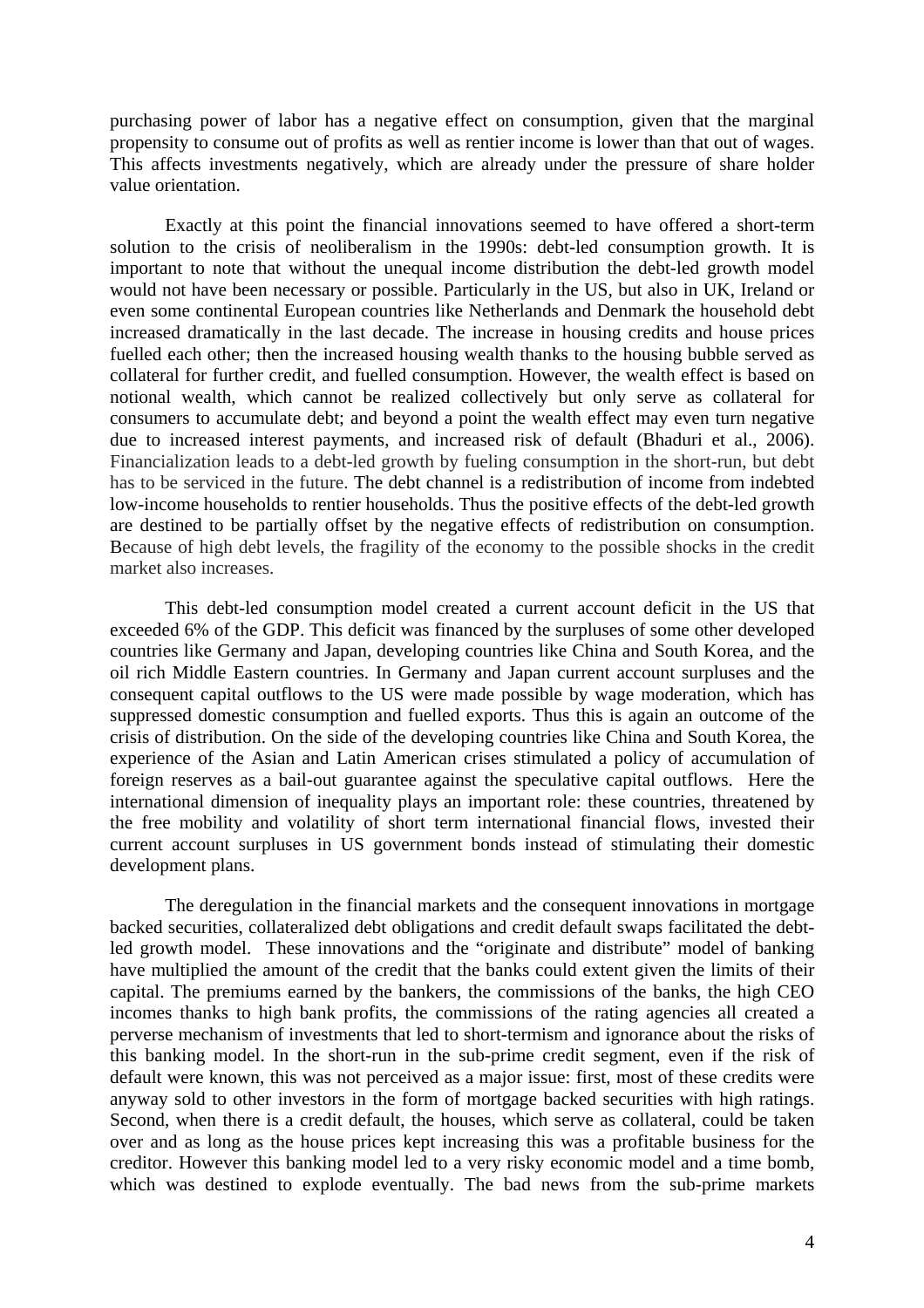purchasing power of labor has a negative effect on consumption, given that the marginal propensity to consume out of profits as well as rentier income is lower than that out of wages. This affects investments negatively, which are already under the pressure of share holder value orientation.

Exactly at this point the financial innovations seemed to have offered a short-term solution to the crisis of neoliberalism in the 1990s: debt-led consumption growth. It is important to note that without the unequal income distribution the debt-led growth model would not have been necessary or possible. Particularly in the US, but also in UK, Ireland or even some continental European countries like Netherlands and Denmark the household debt increased dramatically in the last decade. The increase in housing credits and house prices fuelled each other; then the increased housing wealth thanks to the housing bubble served as collateral for further credit, and fuelled consumption. However, the wealth effect is based on notional wealth, which cannot be realized collectively but only serve as collateral for consumers to accumulate debt; and beyond a point the wealth effect may even turn negative due to increased interest payments, and increased risk of default (Bhaduri et al., 2006). Financialization leads to a debt-led growth by fueling consumption in the short-run, but debt has to be serviced in the future. The debt channel is a redistribution of income from indebted low-income households to rentier households. Thus the positive effects of the debt-led growth are destined to be partially offset by the negative effects of redistribution on consumption. Because of high debt levels, the fragility of the economy to the possible shocks in the credit market also increases.

This debt-led consumption model created a current account deficit in the US that exceeded 6% of the GDP. This deficit was financed by the surpluses of some other developed countries like Germany and Japan, developing countries like China and South Korea, and the oil rich Middle Eastern countries. In Germany and Japan current account surpluses and the consequent capital outflows to the US were made possible by wage moderation, which has suppressed domestic consumption and fuelled exports. Thus this is again an outcome of the crisis of distribution. On the side of the developing countries like China and South Korea, the experience of the Asian and Latin American crises stimulated a policy of accumulation of foreign reserves as a bail-out guarantee against the speculative capital outflows. Here the international dimension of inequality plays an important role: these countries, threatened by the free mobility and volatility of short term international financial flows, invested their current account surpluses in US government bonds instead of stimulating their domestic development plans.

The deregulation in the financial markets and the consequent innovations in mortgage backed securities, collateralized debt obligations and credit default swaps facilitated the debtled growth model. These innovations and the "originate and distribute" model of banking have multiplied the amount of the credit that the banks could extent given the limits of their capital. The premiums earned by the bankers, the commissions of the banks, the high CEO incomes thanks to high bank profits, the commissions of the rating agencies all created a perverse mechanism of investments that led to short-termism and ignorance about the risks of this banking model. In the short-run in the sub-prime credit segment, even if the risk of default were known, this was not perceived as a major issue: first, most of these credits were anyway sold to other investors in the form of mortgage backed securities with high ratings. Second, when there is a credit default, the houses, which serve as collateral, could be taken over and as long as the house prices kept increasing this was a profitable business for the creditor. However this banking model led to a very risky economic model and a time bomb, which was destined to explode eventually. The bad news from the sub-prime markets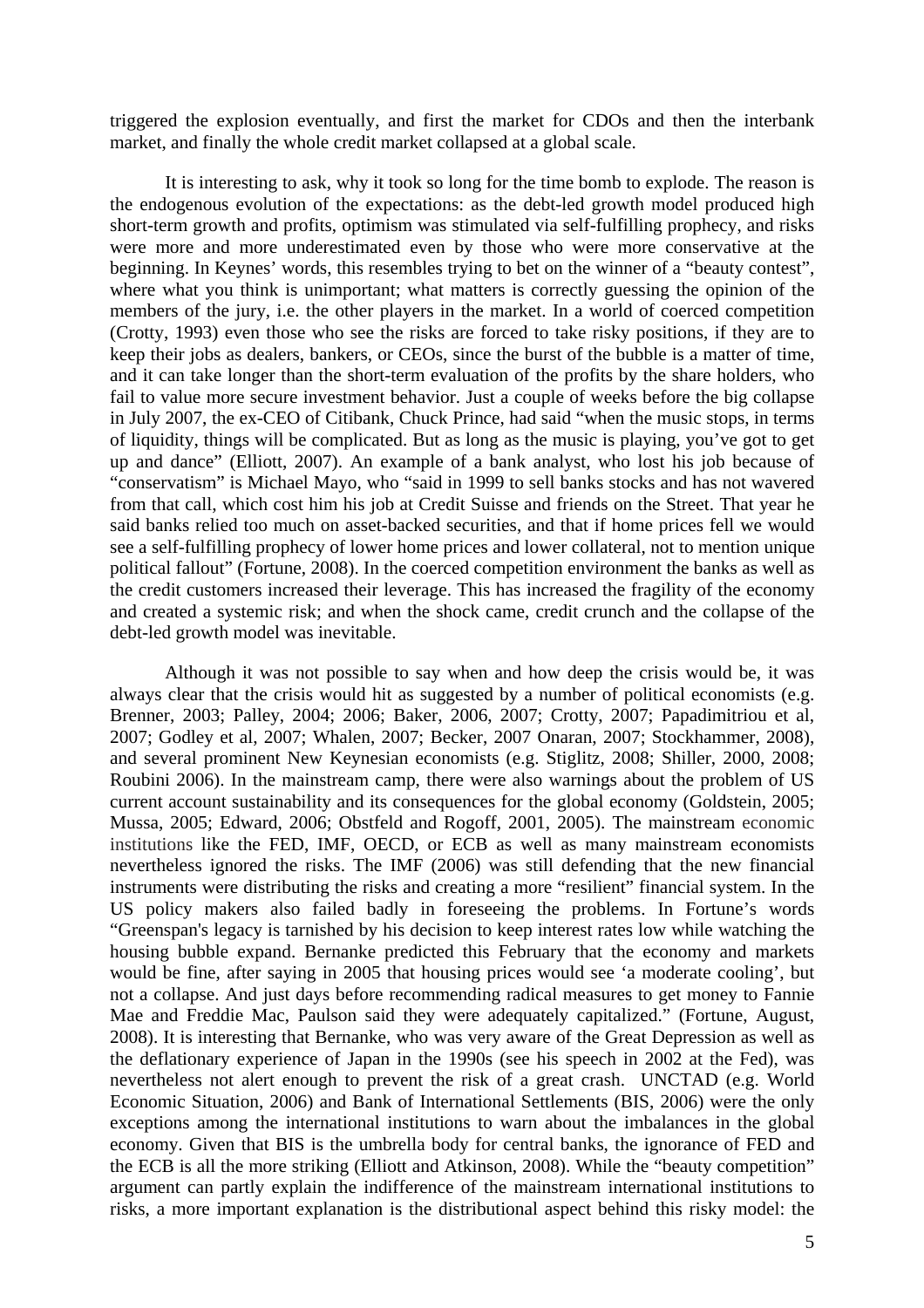triggered the explosion eventually, and first the market for CDOs and then the interbank market, and finally the whole credit market collapsed at a global scale.

It is interesting to ask, why it took so long for the time bomb to explode. The reason is the endogenous evolution of the expectations: as the debt-led growth model produced high short-term growth and profits, optimism was stimulated via self-fulfilling prophecy, and risks were more and more underestimated even by those who were more conservative at the beginning. In Keynes' words, this resembles trying to bet on the winner of a "beauty contest", where what you think is unimportant; what matters is correctly guessing the opinion of the members of the jury, i.e. the other players in the market. In a world of coerced competition (Crotty, 1993) even those who see the risks are forced to take risky positions, if they are to keep their jobs as dealers, bankers, or CEOs, since the burst of the bubble is a matter of time, and it can take longer than the short-term evaluation of the profits by the share holders, who fail to value more secure investment behavior. Just a couple of weeks before the big collapse in July 2007, the ex-CEO of Citibank, Chuck Prince, had said "when the music stops, in terms of liquidity, things will be complicated. But as long as the music is playing, you've got to get up and dance" (Elliott, 2007). An example of a bank analyst, who lost his job because of "conservatism" is Michael Mayo, who "said in 1999 to sell banks stocks and has not wavered from that call, which cost him his job at Credit Suisse and friends on the Street. That year he said banks relied too much on asset-backed securities, and that if home prices fell we would see a self-fulfilling prophecy of lower home prices and lower collateral, not to mention unique political fallout" (Fortune, 2008). In the coerced competition environment the banks as well as the credit customers increased their leverage. This has increased the fragility of the economy and created a systemic risk; and when the shock came, credit crunch and the collapse of the debt-led growth model was inevitable.

Although it was not possible to say when and how deep the crisis would be, it was always clear that the crisis would hit as suggested by a number of political economists (e.g. Brenner, 2003; Palley, 2004; 2006; Baker, 2006, 2007; Crotty, 2007; Papadimitriou et al, 2007; Godley et al, 2007; Whalen, 2007; Becker, 2007 Onaran, 2007; Stockhammer, 2008), and several prominent New Keynesian economists (e.g. Stiglitz, 2008; Shiller, 2000, 2008; Roubini 2006). In the mainstream camp, there were also warnings about the problem of US current account sustainability and its consequences for the global economy (Goldstein, 2005; Mussa, 2005; Edward, 2006; Obstfeld and Rogoff, 2001, 2005). The mainstream economic institutions like the FED, IMF, OECD, or ECB as well as many mainstream economists nevertheless ignored the risks. The IMF (2006) was still defending that the new financial instruments were distributing the risks and creating a more "resilient" financial system. In the US policy makers also failed badly in foreseeing the problems. In Fortune's words "Greenspan's legacy is tarnished by his decision to keep interest rates low while watching the housing bubble expand. Bernanke predicted this February that the economy and markets would be fine, after saying in 2005 that housing prices would see 'a moderate cooling', but not a collapse. And just days before recommending radical measures to get money to Fannie Mae and Freddie Mac, Paulson said they were adequately capitalized." (Fortune, August, 2008). It is interesting that Bernanke, who was very aware of the Great Depression as well as the deflationary experience of Japan in the 1990s (see his speech in 2002 at the Fed), was nevertheless not alert enough to prevent the risk of a great crash. UNCTAD (e.g. World Economic Situation, 2006) and Bank of International Settlements (BIS, 2006) were the only exceptions among the international institutions to warn about the imbalances in the global economy. Given that BIS is the umbrella body for central banks, the ignorance of FED and the ECB is all the more striking (Elliott and Atkinson, 2008). While the "beauty competition" argument can partly explain the indifference of the mainstream international institutions to risks, a more important explanation is the distributional aspect behind this risky model: the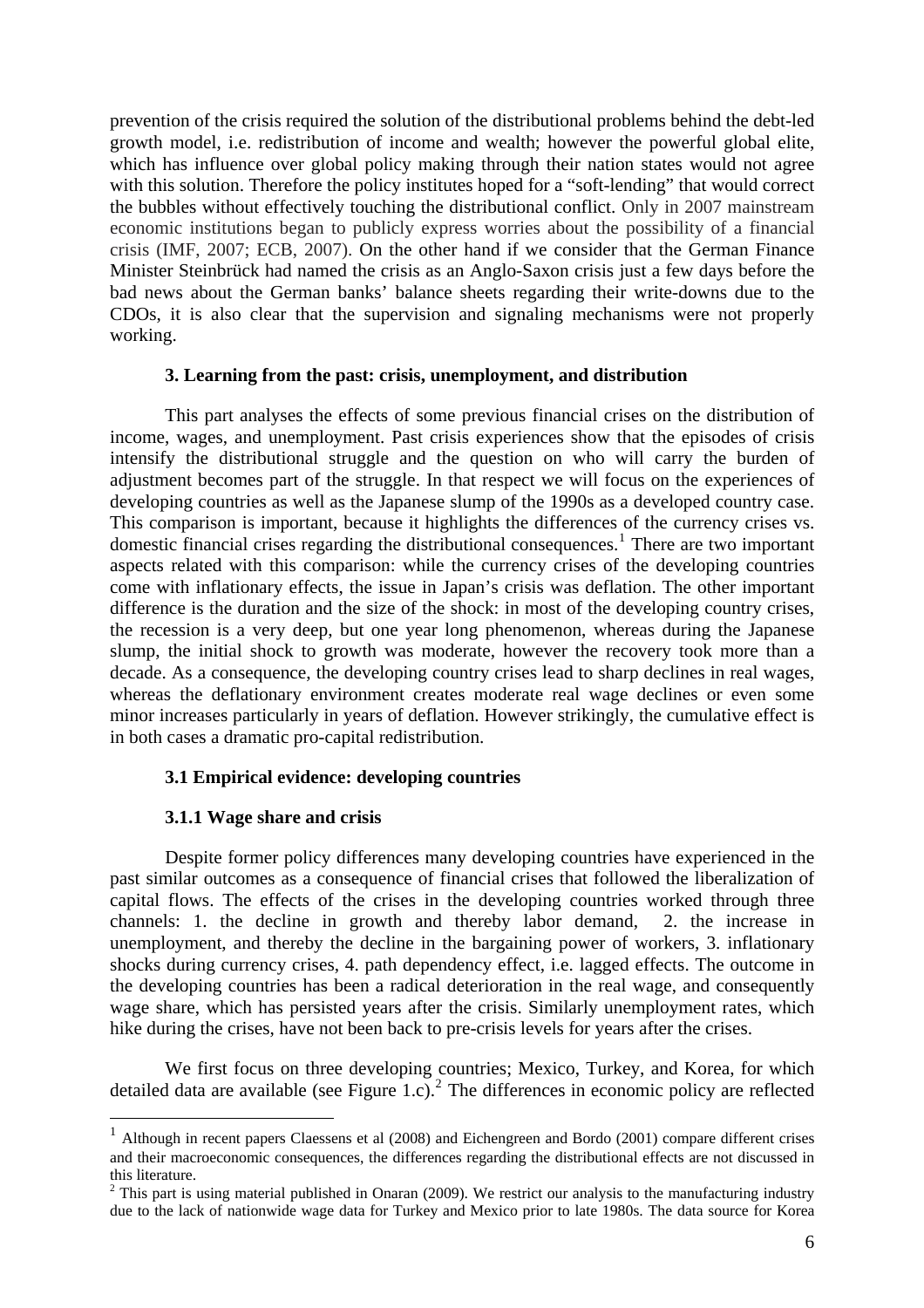<span id="page-7-0"></span>prevention of the crisis required the solution of the distributional problems behind the debt-led growth model, i.e. redistribution of income and wealth; however the powerful global elite, which has influence over global policy making through their nation states would not agree with this solution. Therefore the policy institutes hoped for a "soft-lending" that would correct the bubbles without effectively touching the distributional conflict. Only in 2007 mainstream economic institutions began to publicly express worries about the possibility of a financial crisis (IMF, 2007; ECB, 2007). On the other hand if we consider that the German Finance Minister Steinbrück had named the crisis as an Anglo-Saxon crisis just a few days before the bad news about the German banks' balance sheets regarding their write-downs due to the CDOs, it is also clear that the supervision and signaling mechanisms were not properly working.

#### **3. Learning from the past: crisis, unemployment, and distribution**

This part analyses the effects of some previous financial crises on the distribution of income, wages, and unemployment. Past crisis experiences show that the episodes of crisis intensify the distributional struggle and the question on who will carry the burden of adjustment becomes part of the struggle. In that respect we will focus on the experiences of developing countries as well as the Japanese slump of the 1990s as a developed country case. This comparison is important, because it highlights the differences of the currency crises vs. domestic financial crises regarding the distributional consequences.<sup>[1](#page-7-0)</sup> There are two important aspects related with this comparison: while the currency crises of the developing countries come with inflationary effects, the issue in Japan's crisis was deflation. The other important difference is the duration and the size of the shock: in most of the developing country crises, the recession is a very deep, but one year long phenomenon, whereas during the Japanese slump, the initial shock to growth was moderate, however the recovery took more than a decade. As a consequence, the developing country crises lead to sharp declines in real wages, whereas the deflationary environment creates moderate real wage declines or even some minor increases particularly in years of deflation. However strikingly, the cumulative effect is in both cases a dramatic pro-capital redistribution.

#### **3.1 Empirical evidence: developing countries**

#### **3.1.1 Wage share and crisis**

1

Despite former policy differences many developing countries have experienced in the past similar outcomes as a consequence of financial crises that followed the liberalization of capital flows. The effects of the crises in the developing countries worked through three channels: 1. the decline in growth and thereby labor demand, 2. the increase in unemployment, and thereby the decline in the bargaining power of workers, 3. inflationary shocks during currency crises, 4. path dependency effect, i.e. lagged effects. The outcome in the developing countries has been a radical deterioration in the real wage, and consequently wage share, which has persisted years after the crisis. Similarly unemployment rates, which hike during the crises, have not been back to pre-crisis levels for years after the crises.

We first focus on three developing countries; Mexico, Turkey, and Korea, for which detailed data are available (see Figure 1.c).<sup>[2](#page-7-0)</sup> The differences in economic policy are reflected

<sup>1</sup> Although in recent papers Claessens et al (2008) and Eichengreen and Bordo (2001) compare different crises and their macroeconomic consequences, the differences regarding the distributional effects are not discussed in this literature.

 $2$  This part is using material published in Onaran (2009). We restrict our analysis to the manufacturing industry due to the lack of nationwide wage data for Turkey and Mexico prior to late 1980s. The data source for Korea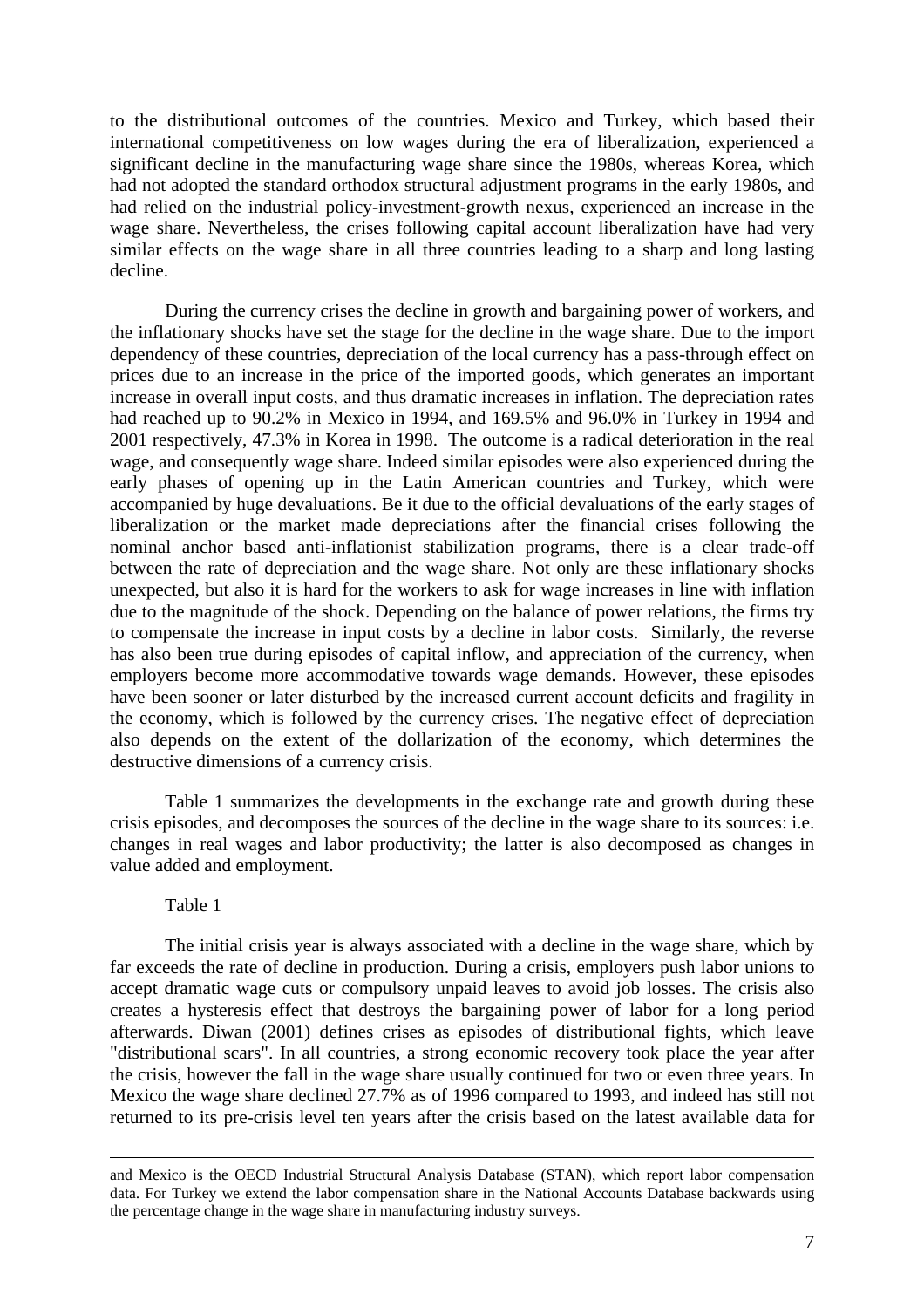to the distributional outcomes of the countries. Mexico and Turkey, which based their international competitiveness on low wages during the era of liberalization, experienced a significant decline in the manufacturing wage share since the 1980s, whereas Korea, which had not adopted the standard orthodox structural adjustment programs in the early 1980s, and had relied on the industrial policy-investment-growth nexus, experienced an increase in the wage share. Nevertheless, the crises following capital account liberalization have had very similar effects on the wage share in all three countries leading to a sharp and long lasting decline.

During the currency crises the decline in growth and bargaining power of workers, and the inflationary shocks have set the stage for the decline in the wage share. Due to the import dependency of these countries, depreciation of the local currency has a pass-through effect on prices due to an increase in the price of the imported goods, which generates an important increase in overall input costs, and thus dramatic increases in inflation. The depreciation rates had reached up to 90.2% in Mexico in 1994, and 169.5% and 96.0% in Turkey in 1994 and 2001 respectively, 47.3% in Korea in 1998. The outcome is a radical deterioration in the real wage, and consequently wage share. Indeed similar episodes were also experienced during the early phases of opening up in the Latin American countries and Turkey, which were accompanied by huge devaluations. Be it due to the official devaluations of the early stages of liberalization or the market made depreciations after the financial crises following the nominal anchor based anti-inflationist stabilization programs, there is a clear trade-off between the rate of depreciation and the wage share. Not only are these inflationary shocks unexpected, but also it is hard for the workers to ask for wage increases in line with inflation due to the magnitude of the shock. Depending on the balance of power relations, the firms try to compensate the increase in input costs by a decline in labor costs. Similarly, the reverse has also been true during episodes of capital inflow, and appreciation of the currency, when employers become more accommodative towards wage demands. However, these episodes have been sooner or later disturbed by the increased current account deficits and fragility in the economy, which is followed by the currency crises. The negative effect of depreciation also depends on the extent of the dollarization of the economy, which determines the destructive dimensions of a currency crisis.

Table 1 summarizes the developments in the exchange rate and growth during these crisis episodes, and decomposes the sources of the decline in the wage share to its sources: i.e. changes in real wages and labor productivity; the latter is also decomposed as changes in value added and employment.

#### Table 1

The initial crisis year is always associated with a decline in the wage share, which by far exceeds the rate of decline in production. During a crisis, employers push labor unions to accept dramatic wage cuts or compulsory unpaid leaves to avoid job losses. The crisis also creates a hysteresis effect that destroys the bargaining power of labor for a long period afterwards. Diwan (2001) defines crises as episodes of distributional fights, which leave "distributional scars". In all countries, a strong economic recovery took place the year after the crisis, however the fall in the wage share usually continued for two or even three years. In Mexico the wage share declined 27.7% as of 1996 compared to 1993, and indeed has still not returned to its pre-crisis level ten years after the crisis based on the latest available data for

and Mexico is the OECD Industrial Structural Analysis Database (STAN), which report labor compensation data. For Turkey we extend the labor compensation share in the National Accounts Database backwards using the percentage change in the wage share in manufacturing industry surveys.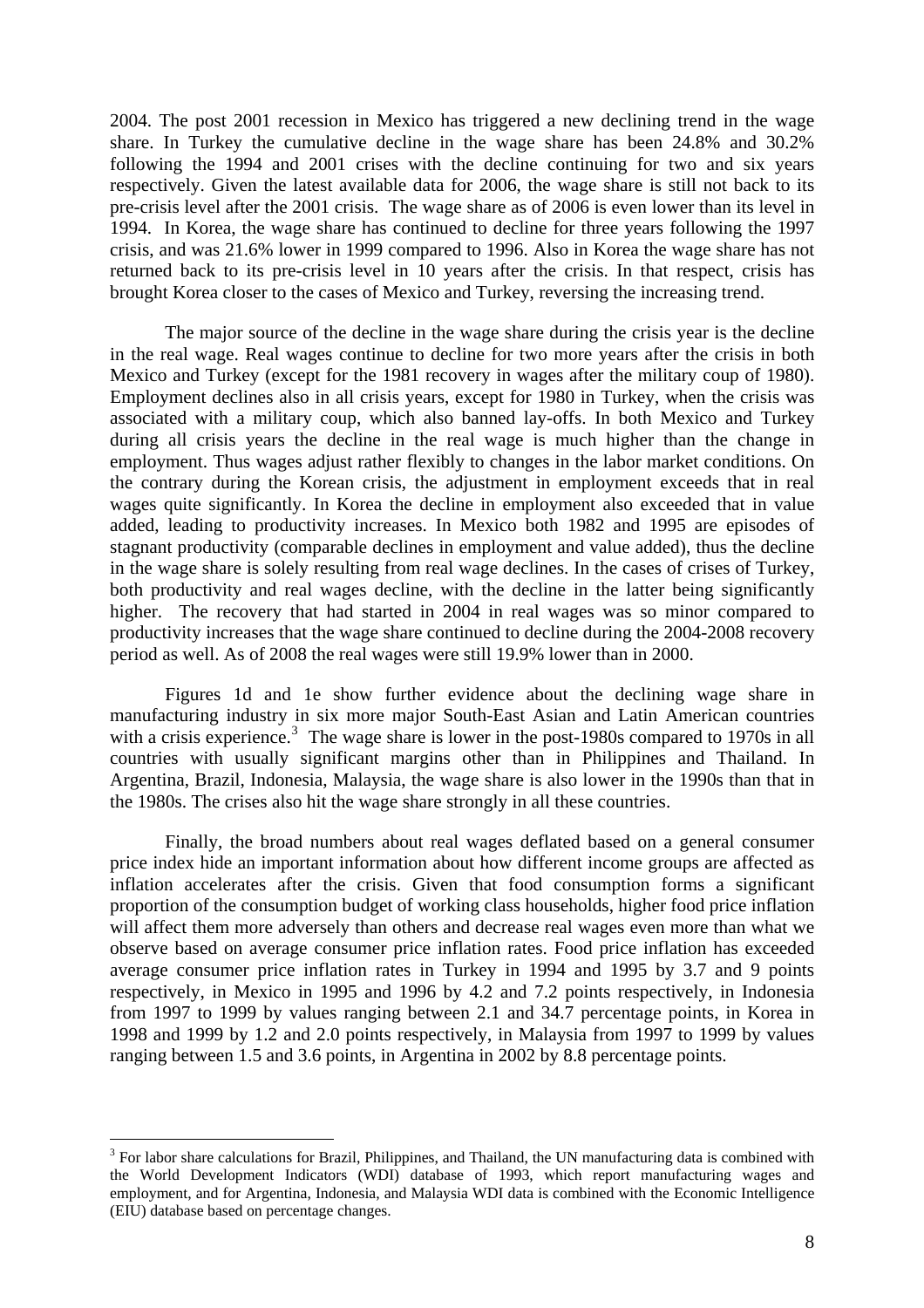<span id="page-9-0"></span>2004. The post 2001 recession in Mexico has triggered a new declining trend in the wage share. In Turkey the cumulative decline in the wage share has been 24.8% and 30.2% following the 1994 and 2001 crises with the decline continuing for two and six years respectively. Given the latest available data for 2006, the wage share is still not back to its pre-crisis level after the 2001 crisis. The wage share as of 2006 is even lower than its level in 1994. In Korea, the wage share has continued to decline for three years following the 1997 crisis, and was 21.6% lower in 1999 compared to 1996. Also in Korea the wage share has not returned back to its pre-crisis level in 10 years after the crisis. In that respect, crisis has brought Korea closer to the cases of Mexico and Turkey, reversing the increasing trend.

The major source of the decline in the wage share during the crisis year is the decline in the real wage. Real wages continue to decline for two more years after the crisis in both Mexico and Turkey (except for the 1981 recovery in wages after the military coup of 1980). Employment declines also in all crisis years, except for 1980 in Turkey, when the crisis was associated with a military coup, which also banned lay-offs. In both Mexico and Turkey during all crisis years the decline in the real wage is much higher than the change in employment. Thus wages adjust rather flexibly to changes in the labor market conditions. On the contrary during the Korean crisis, the adjustment in employment exceeds that in real wages quite significantly. In Korea the decline in employment also exceeded that in value added, leading to productivity increases. In Mexico both 1982 and 1995 are episodes of stagnant productivity (comparable declines in employment and value added), thus the decline in the wage share is solely resulting from real wage declines. In the cases of crises of Turkey, both productivity and real wages decline, with the decline in the latter being significantly higher. The recovery that had started in 2004 in real wages was so minor compared to productivity increases that the wage share continued to decline during the 2004-2008 recovery period as well. As of 2008 the real wages were still 19.9% lower than in 2000.

Figures 1d and 1e show further evidence about the declining wage share in manufacturing industry in six more major South-East Asian and Latin American countries with a crisis experience.<sup>[3](#page-9-0)</sup> The wage share is lower in the post-1980s compared to 1970s in all countries with usually significant margins other than in Philippines and Thailand. In Argentina, Brazil, Indonesia, Malaysia, the wage share is also lower in the 1990s than that in the 1980s. The crises also hit the wage share strongly in all these countries.

Finally, the broad numbers about real wages deflated based on a general consumer price index hide an important information about how different income groups are affected as inflation accelerates after the crisis. Given that food consumption forms a significant proportion of the consumption budget of working class households, higher food price inflation will affect them more adversely than others and decrease real wages even more than what we observe based on average consumer price inflation rates. Food price inflation has exceeded average consumer price inflation rates in Turkey in 1994 and 1995 by 3.7 and 9 points respectively, in Mexico in 1995 and 1996 by 4.2 and 7.2 points respectively, in Indonesia from 1997 to 1999 by values ranging between 2.1 and 34.7 percentage points, in Korea in 1998 and 1999 by 1.2 and 2.0 points respectively, in Malaysia from 1997 to 1999 by values ranging between 1.5 and 3.6 points, in Argentina in 2002 by 8.8 percentage points.

1

 $3$  For labor share calculations for Brazil, Philippines, and Thailand, the UN manufacturing data is combined with the World Development Indicators (WDI) database of 1993, which report manufacturing wages and employment, and for Argentina, Indonesia, and Malaysia WDI data is combined with the Economic Intelligence (EIU) database based on percentage changes.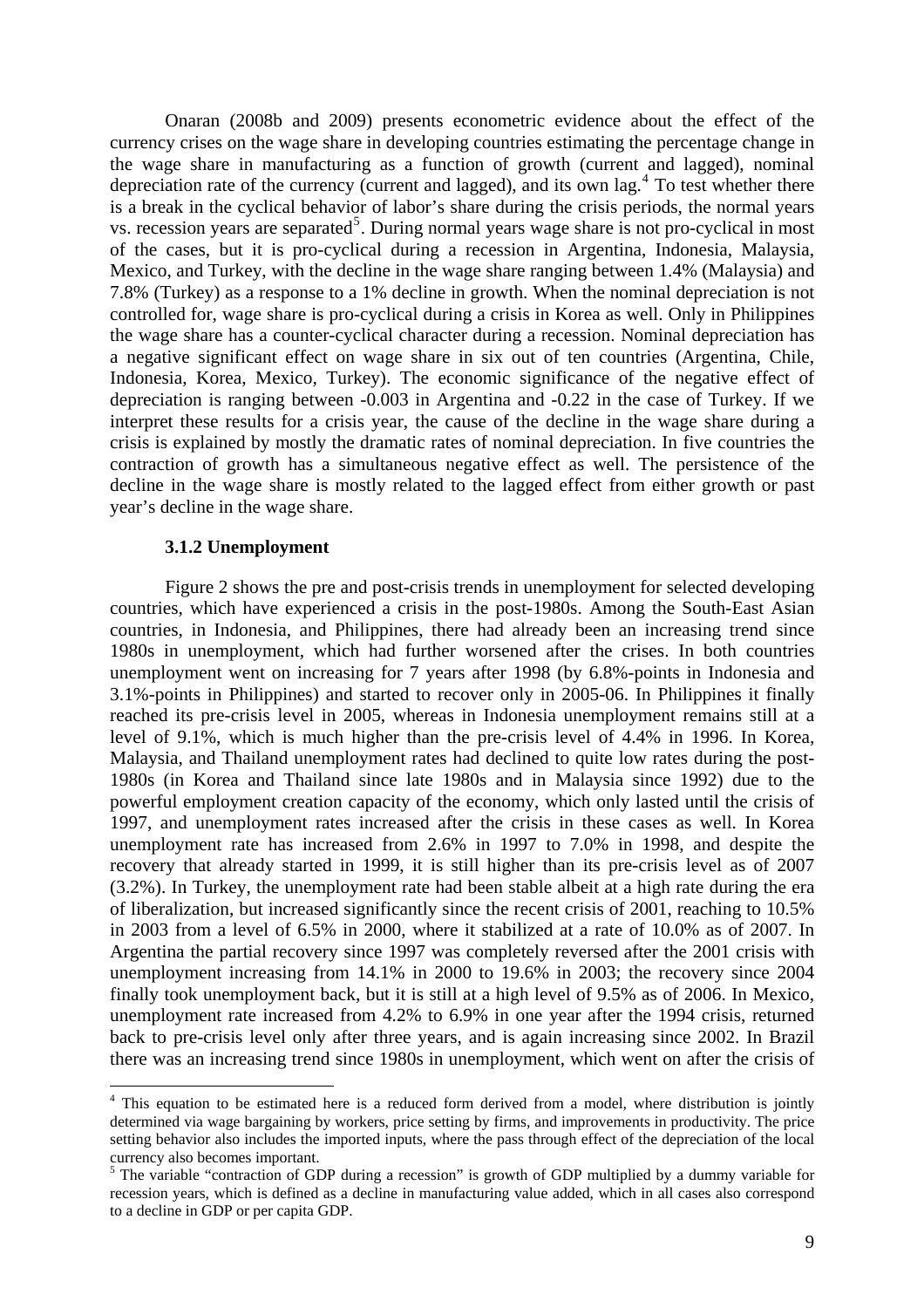<span id="page-10-0"></span>Onaran (2008b and 2009) presents econometric evidence about the effect of the currency crises on the wage share in developing countries estimating the percentage change in the wage share in manufacturing as a function of growth (current and lagged), nominal depreciation rate of the currency (current and lagged), and its own lag.<sup>[4](#page-10-0)</sup> To test whether there is a break in the cyclical behavior of labor's share during the crisis periods, the normal years vs. recession years are separated<sup>[5](#page-10-0)</sup>. During normal years wage share is not pro-cyclical in most of the cases, but it is pro-cyclical during a recession in Argentina, Indonesia, Malaysia, Mexico, and Turkey, with the decline in the wage share ranging between 1.4% (Malaysia) and 7.8% (Turkey) as a response to a 1% decline in growth. When the nominal depreciation is not controlled for, wage share is pro-cyclical during a crisis in Korea as well. Only in Philippines the wage share has a counter-cyclical character during a recession. Nominal depreciation has a negative significant effect on wage share in six out of ten countries (Argentina, Chile, Indonesia, Korea, Mexico, Turkey). The economic significance of the negative effect of depreciation is ranging between -0.003 in Argentina and -0.22 in the case of Turkey. If we interpret these results for a crisis year, the cause of the decline in the wage share during a crisis is explained by mostly the dramatic rates of nominal depreciation. In five countries the contraction of growth has a simultaneous negative effect as well. The persistence of the decline in the wage share is mostly related to the lagged effect from either growth or past year's decline in the wage share.

#### **3.1.2 Unemployment**

1

Figure 2 shows the pre and post-crisis trends in unemployment for selected developing countries, which have experienced a crisis in the post-1980s. Among the South-East Asian countries, in Indonesia, and Philippines, there had already been an increasing trend since 1980s in unemployment, which had further worsened after the crises. In both countries unemployment went on increasing for 7 years after 1998 (by 6.8%-points in Indonesia and 3.1%-points in Philippines) and started to recover only in 2005-06. In Philippines it finally reached its pre-crisis level in 2005, whereas in Indonesia unemployment remains still at a level of 9.1%, which is much higher than the pre-crisis level of 4.4% in 1996. In Korea, Malaysia, and Thailand unemployment rates had declined to quite low rates during the post-1980s (in Korea and Thailand since late 1980s and in Malaysia since 1992) due to the powerful employment creation capacity of the economy, which only lasted until the crisis of 1997, and unemployment rates increased after the crisis in these cases as well. In Korea unemployment rate has increased from 2.6% in 1997 to 7.0% in 1998, and despite the recovery that already started in 1999, it is still higher than its pre-crisis level as of 2007 (3.2%). In Turkey, the unemployment rate had been stable albeit at a high rate during the era of liberalization, but increased significantly since the recent crisis of 2001, reaching to 10.5% in 2003 from a level of 6.5% in 2000, where it stabilized at a rate of 10.0% as of 2007. In Argentina the partial recovery since 1997 was completely reversed after the 2001 crisis with unemployment increasing from 14.1% in 2000 to 19.6% in 2003; the recovery since 2004 finally took unemployment back, but it is still at a high level of 9.5% as of 2006. In Mexico, unemployment rate increased from 4.2% to 6.9% in one year after the 1994 crisis, returned back to pre-crisis level only after three years, and is again increasing since 2002. In Brazil there was an increasing trend since 1980s in unemployment, which went on after the crisis of

<sup>&</sup>lt;sup>4</sup> This equation to be estimated here is a reduced form derived from a model, where distribution is jointly determined via wage bargaining by workers, price setting by firms, and improvements in productivity. The price setting behavior also includes the imported inputs, where the pass through effect of the depreciation of the local currency also becomes important.

<sup>&</sup>lt;sup>5</sup> The variable "contraction of GDP during a recession" is growth of GDP multiplied by a dummy variable for recession years, which is defined as a decline in manufacturing value added, which in all cases also correspond to a decline in GDP or per capita GDP.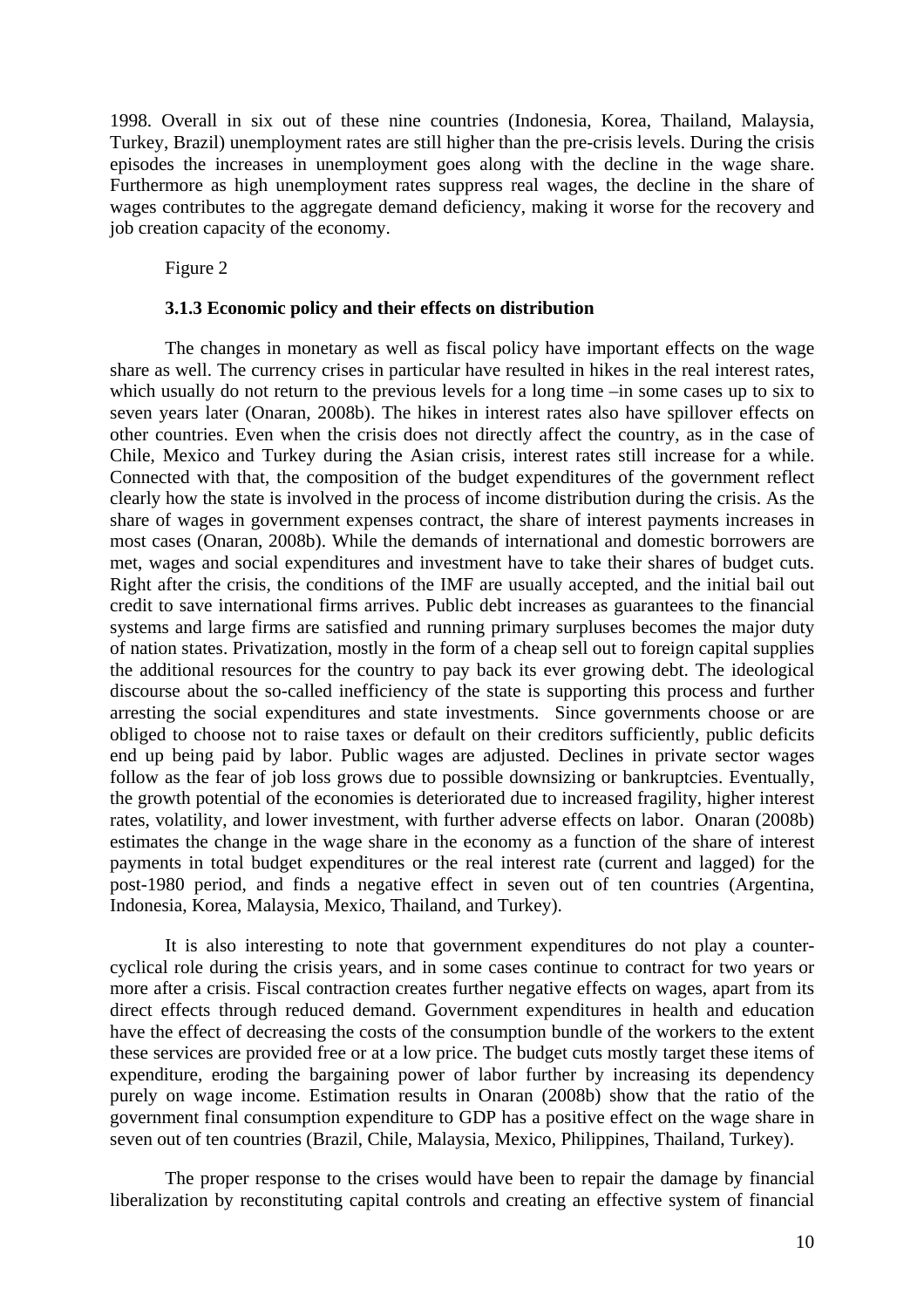1998. Overall in six out of these nine countries (Indonesia, Korea, Thailand, Malaysia, Turkey, Brazil) unemployment rates are still higher than the pre-crisis levels. During the crisis episodes the increases in unemployment goes along with the decline in the wage share. Furthermore as high unemployment rates suppress real wages, the decline in the share of wages contributes to the aggregate demand deficiency, making it worse for the recovery and job creation capacity of the economy.

Figure 2

#### **3.1.3 Economic policy and their effects on distribution**

The changes in monetary as well as fiscal policy have important effects on the wage share as well. The currency crises in particular have resulted in hikes in the real interest rates, which usually do not return to the previous levels for a long time –in some cases up to six to seven years later (Onaran, 2008b). The hikes in interest rates also have spillover effects on other countries. Even when the crisis does not directly affect the country, as in the case of Chile, Mexico and Turkey during the Asian crisis, interest rates still increase for a while. Connected with that, the composition of the budget expenditures of the government reflect clearly how the state is involved in the process of income distribution during the crisis. As the share of wages in government expenses contract, the share of interest payments increases in most cases (Onaran, 2008b). While the demands of international and domestic borrowers are met, wages and social expenditures and investment have to take their shares of budget cuts. Right after the crisis, the conditions of the IMF are usually accepted, and the initial bail out credit to save international firms arrives. Public debt increases as guarantees to the financial systems and large firms are satisfied and running primary surpluses becomes the major duty of nation states. Privatization, mostly in the form of a cheap sell out to foreign capital supplies the additional resources for the country to pay back its ever growing debt. The ideological discourse about the so-called inefficiency of the state is supporting this process and further arresting the social expenditures and state investments. Since governments choose or are obliged to choose not to raise taxes or default on their creditors sufficiently, public deficits end up being paid by labor. Public wages are adjusted. Declines in private sector wages follow as the fear of job loss grows due to possible downsizing or bankruptcies. Eventually, the growth potential of the economies is deteriorated due to increased fragility, higher interest rates, volatility, and lower investment, with further adverse effects on labor. Onaran (2008b) estimates the change in the wage share in the economy as a function of the share of interest payments in total budget expenditures or the real interest rate (current and lagged) for the post-1980 period, and finds a negative effect in seven out of ten countries (Argentina, Indonesia, Korea, Malaysia, Mexico, Thailand, and Turkey).

It is also interesting to note that government expenditures do not play a countercyclical role during the crisis years, and in some cases continue to contract for two years or more after a crisis. Fiscal contraction creates further negative effects on wages, apart from its direct effects through reduced demand. Government expenditures in health and education have the effect of decreasing the costs of the consumption bundle of the workers to the extent these services are provided free or at a low price. The budget cuts mostly target these items of expenditure, eroding the bargaining power of labor further by increasing its dependency purely on wage income. Estimation results in Onaran (2008b) show that the ratio of the government final consumption expenditure to GDP has a positive effect on the wage share in seven out of ten countries (Brazil, Chile, Malaysia, Mexico, Philippines, Thailand, Turkey).

The proper response to the crises would have been to repair the damage by financial liberalization by reconstituting capital controls and creating an effective system of financial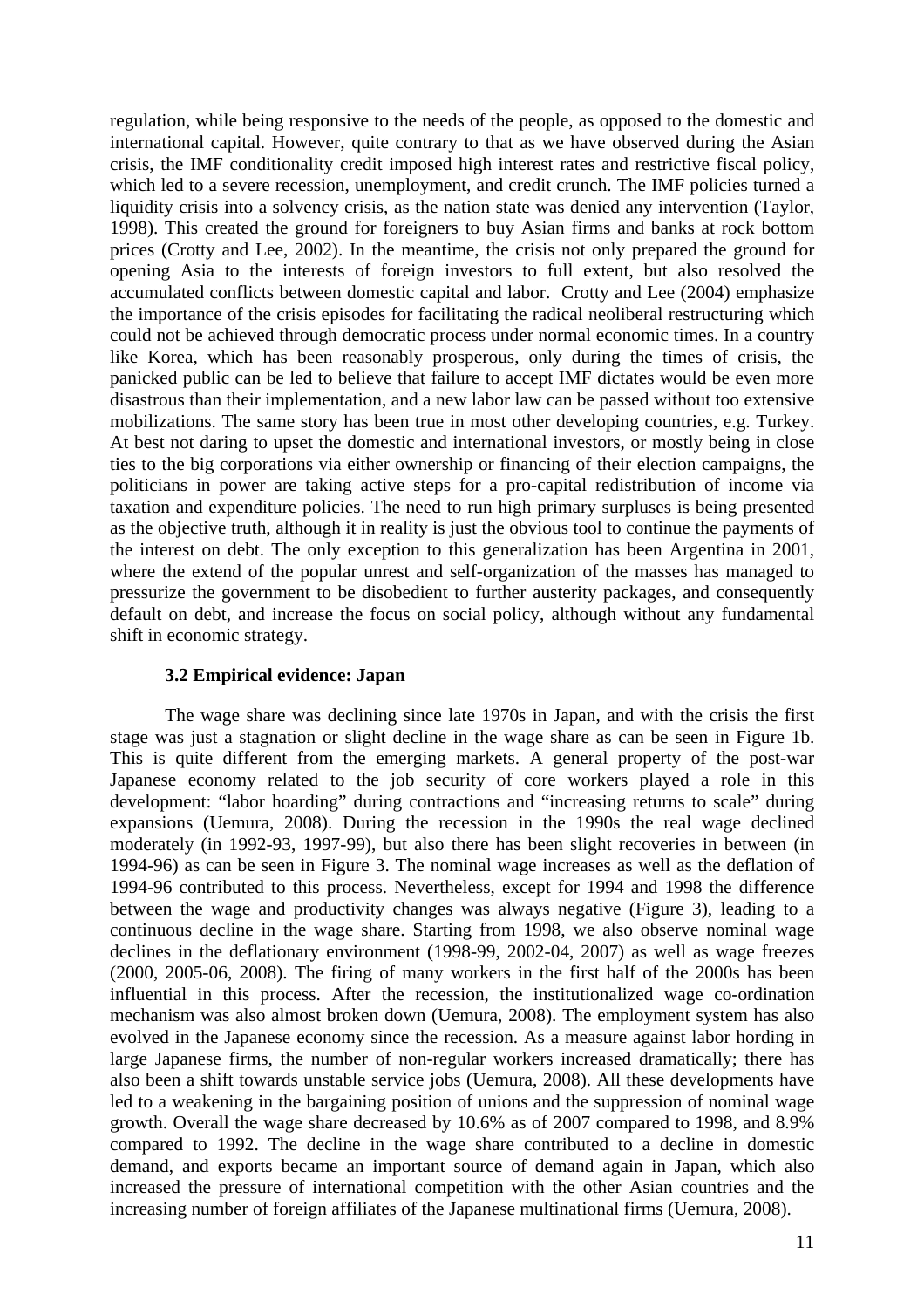regulation, while being responsive to the needs of the people, as opposed to the domestic and international capital. However, quite contrary to that as we have observed during the Asian crisis, the IMF conditionality credit imposed high interest rates and restrictive fiscal policy, which led to a severe recession, unemployment, and credit crunch. The IMF policies turned a liquidity crisis into a solvency crisis, as the nation state was denied any intervention (Taylor, 1998). This created the ground for foreigners to buy Asian firms and banks at rock bottom prices (Crotty and Lee, 2002). In the meantime, the crisis not only prepared the ground for opening Asia to the interests of foreign investors to full extent, but also resolved the accumulated conflicts between domestic capital and labor. Crotty and Lee (2004) emphasize the importance of the crisis episodes for facilitating the radical neoliberal restructuring which could not be achieved through democratic process under normal economic times. In a country like Korea, which has been reasonably prosperous, only during the times of crisis, the panicked public can be led to believe that failure to accept IMF dictates would be even more disastrous than their implementation, and a new labor law can be passed without too extensive mobilizations. The same story has been true in most other developing countries, e.g. Turkey. At best not daring to upset the domestic and international investors, or mostly being in close ties to the big corporations via either ownership or financing of their election campaigns, the politicians in power are taking active steps for a pro-capital redistribution of income via taxation and expenditure policies. The need to run high primary surpluses is being presented as the objective truth, although it in reality is just the obvious tool to continue the payments of the interest on debt. The only exception to this generalization has been Argentina in 2001, where the extend of the popular unrest and self-organization of the masses has managed to pressurize the government to be disobedient to further austerity packages, and consequently default on debt, and increase the focus on social policy, although without any fundamental shift in economic strategy.

#### **3.2 Empirical evidence: Japan**

The wage share was declining since late 1970s in Japan, and with the crisis the first stage was just a stagnation or slight decline in the wage share as can be seen in Figure 1b. This is quite different from the emerging markets. A general property of the post-war Japanese economy related to the job security of core workers played a role in this development: "labor hoarding" during contractions and "increasing returns to scale" during expansions (Uemura, 2008). During the recession in the 1990s the real wage declined moderately (in 1992-93, 1997-99), but also there has been slight recoveries in between (in 1994-96) as can be seen in Figure 3. The nominal wage increases as well as the deflation of 1994-96 contributed to this process. Nevertheless, except for 1994 and 1998 the difference between the wage and productivity changes was always negative (Figure 3), leading to a continuous decline in the wage share. Starting from 1998, we also observe nominal wage declines in the deflationary environment (1998-99, 2002-04, 2007) as well as wage freezes (2000, 2005-06, 2008). The firing of many workers in the first half of the 2000s has been influential in this process. After the recession, the institutionalized wage co-ordination mechanism was also almost broken down (Uemura, 2008). The employment system has also evolved in the Japanese economy since the recession. As a measure against labor hording in large Japanese firms, the number of non-regular workers increased dramatically; there has also been a shift towards unstable service jobs (Uemura, 2008). All these developments have led to a weakening in the bargaining position of unions and the suppression of nominal wage growth. Overall the wage share decreased by 10.6% as of 2007 compared to 1998, and 8.9% compared to 1992. The decline in the wage share contributed to a decline in domestic demand, and exports became an important source of demand again in Japan, which also increased the pressure of international competition with the other Asian countries and the increasing number of foreign affiliates of the Japanese multinational firms (Uemura, 2008).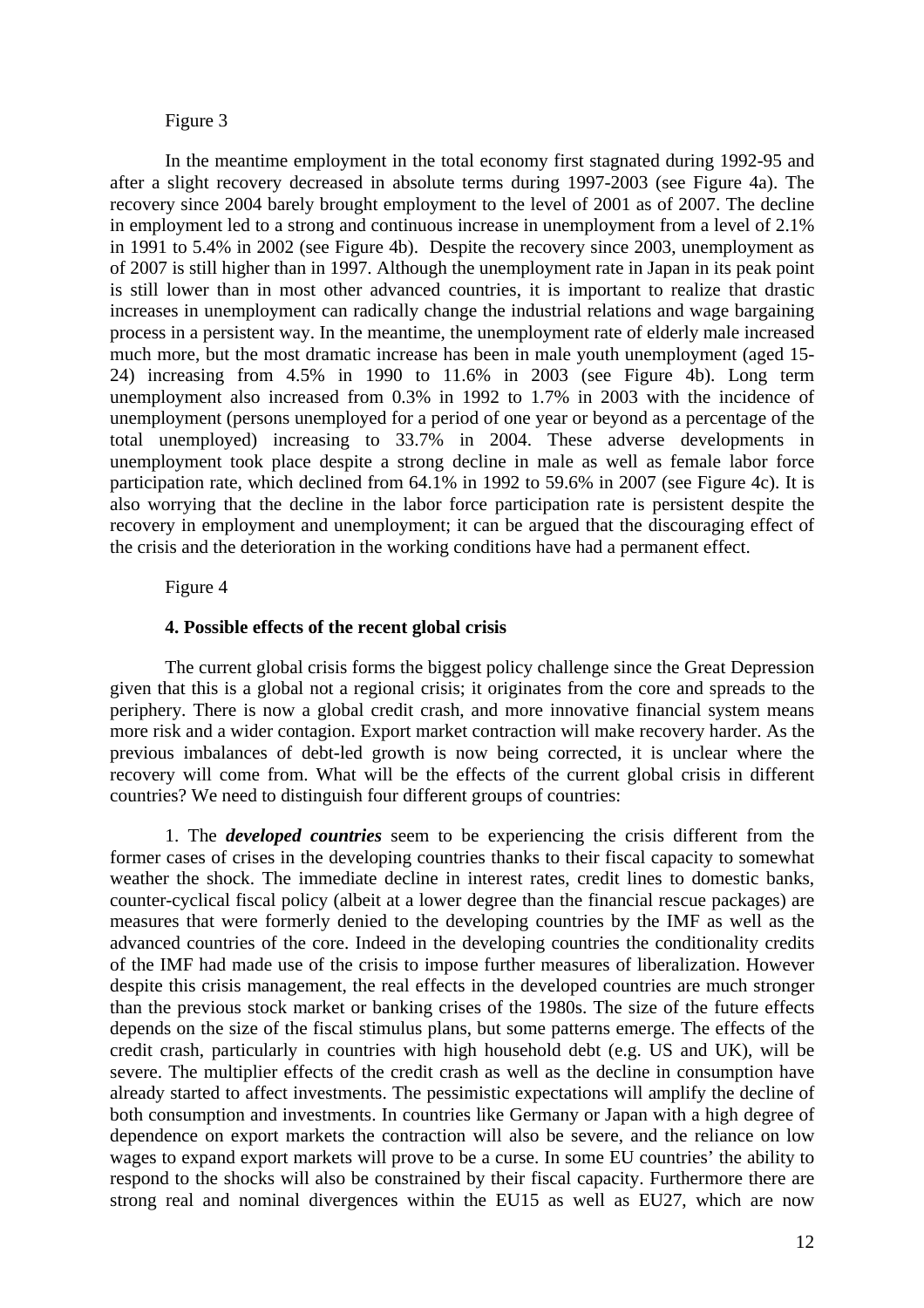#### Figure 3

In the meantime employment in the total economy first stagnated during 1992-95 and after a slight recovery decreased in absolute terms during 1997-2003 (see Figure 4a). The recovery since 2004 barely brought employment to the level of 2001 as of 2007. The decline in employment led to a strong and continuous increase in unemployment from a level of 2.1% in 1991 to 5.4% in 2002 (see Figure 4b). Despite the recovery since 2003, unemployment as of 2007 is still higher than in 1997. Although the unemployment rate in Japan in its peak point is still lower than in most other advanced countries, it is important to realize that drastic increases in unemployment can radically change the industrial relations and wage bargaining process in a persistent way. In the meantime, the unemployment rate of elderly male increased much more, but the most dramatic increase has been in male youth unemployment (aged 15- 24) increasing from 4.5% in 1990 to 11.6% in 2003 (see Figure 4b). Long term unemployment also increased from 0.3% in 1992 to 1.7% in 2003 with the incidence of unemployment (persons unemployed for a period of one year or beyond as a percentage of the total unemployed) increasing to 33.7% in 2004. These adverse developments in unemployment took place despite a strong decline in male as well as female labor force participation rate, which declined from 64.1% in 1992 to 59.6% in 2007 (see Figure 4c). It is also worrying that the decline in the labor force participation rate is persistent despite the recovery in employment and unemployment; it can be argued that the discouraging effect of the crisis and the deterioration in the working conditions have had a permanent effect.

#### Figure 4

#### **4. Possible effects of the recent global crisis**

The current global crisis forms the biggest policy challenge since the Great Depression given that this is a global not a regional crisis; it originates from the core and spreads to the periphery. There is now a global credit crash, and more innovative financial system means more risk and a wider contagion. Export market contraction will make recovery harder. As the previous imbalances of debt-led growth is now being corrected, it is unclear where the recovery will come from. What will be the effects of the current global crisis in different countries? We need to distinguish four different groups of countries:

1. The *developed countries* seem to be experiencing the crisis different from the former cases of crises in the developing countries thanks to their fiscal capacity to somewhat weather the shock. The immediate decline in interest rates, credit lines to domestic banks, counter-cyclical fiscal policy (albeit at a lower degree than the financial rescue packages) are measures that were formerly denied to the developing countries by the IMF as well as the advanced countries of the core. Indeed in the developing countries the conditionality credits of the IMF had made use of the crisis to impose further measures of liberalization. However despite this crisis management, the real effects in the developed countries are much stronger than the previous stock market or banking crises of the 1980s. The size of the future effects depends on the size of the fiscal stimulus plans, but some patterns emerge. The effects of the credit crash, particularly in countries with high household debt (e.g. US and UK), will be severe. The multiplier effects of the credit crash as well as the decline in consumption have already started to affect investments. The pessimistic expectations will amplify the decline of both consumption and investments. In countries like Germany or Japan with a high degree of dependence on export markets the contraction will also be severe, and the reliance on low wages to expand export markets will prove to be a curse. In some EU countries' the ability to respond to the shocks will also be constrained by their fiscal capacity. Furthermore there are strong real and nominal divergences within the EU15 as well as EU27, which are now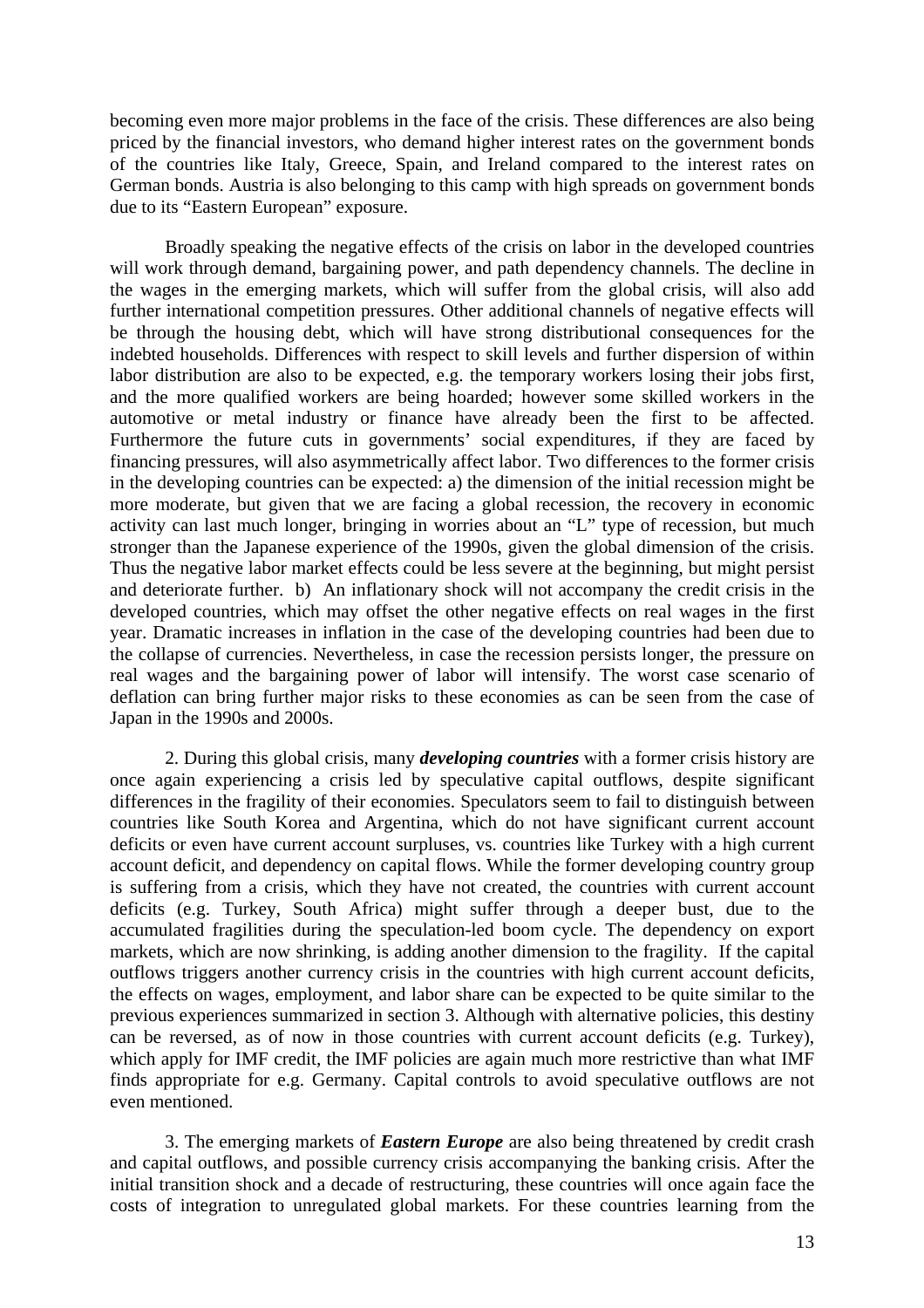becoming even more major problems in the face of the crisis. These differences are also being priced by the financial investors, who demand higher interest rates on the government bonds of the countries like Italy, Greece, Spain, and Ireland compared to the interest rates on German bonds. Austria is also belonging to this camp with high spreads on government bonds due to its "Eastern European" exposure.

Broadly speaking the negative effects of the crisis on labor in the developed countries will work through demand, bargaining power, and path dependency channels. The decline in the wages in the emerging markets, which will suffer from the global crisis, will also add further international competition pressures. Other additional channels of negative effects will be through the housing debt, which will have strong distributional consequences for the indebted households. Differences with respect to skill levels and further dispersion of within labor distribution are also to be expected, e.g. the temporary workers losing their jobs first, and the more qualified workers are being hoarded; however some skilled workers in the automotive or metal industry or finance have already been the first to be affected. Furthermore the future cuts in governments' social expenditures, if they are faced by financing pressures, will also asymmetrically affect labor. Two differences to the former crisis in the developing countries can be expected: a) the dimension of the initial recession might be more moderate, but given that we are facing a global recession, the recovery in economic activity can last much longer, bringing in worries about an "L" type of recession, but much stronger than the Japanese experience of the 1990s, given the global dimension of the crisis. Thus the negative labor market effects could be less severe at the beginning, but might persist and deteriorate further. b) An inflationary shock will not accompany the credit crisis in the developed countries, which may offset the other negative effects on real wages in the first year. Dramatic increases in inflation in the case of the developing countries had been due to the collapse of currencies. Nevertheless, in case the recession persists longer, the pressure on real wages and the bargaining power of labor will intensify. The worst case scenario of deflation can bring further major risks to these economies as can be seen from the case of Japan in the 1990s and 2000s.

2. During this global crisis, many *developing countries* with a former crisis history are once again experiencing a crisis led by speculative capital outflows, despite significant differences in the fragility of their economies. Speculators seem to fail to distinguish between countries like South Korea and Argentina, which do not have significant current account deficits or even have current account surpluses, vs. countries like Turkey with a high current account deficit, and dependency on capital flows. While the former developing country group is suffering from a crisis, which they have not created, the countries with current account deficits (e.g. Turkey, South Africa) might suffer through a deeper bust, due to the accumulated fragilities during the speculation-led boom cycle. The dependency on export markets, which are now shrinking, is adding another dimension to the fragility. If the capital outflows triggers another currency crisis in the countries with high current account deficits, the effects on wages, employment, and labor share can be expected to be quite similar to the previous experiences summarized in section 3. Although with alternative policies, this destiny can be reversed, as of now in those countries with current account deficits (e.g. Turkey), which apply for IMF credit, the IMF policies are again much more restrictive than what IMF finds appropriate for e.g. Germany. Capital controls to avoid speculative outflows are not even mentioned.

3. The emerging markets of *Eastern Europe* are also being threatened by credit crash and capital outflows, and possible currency crisis accompanying the banking crisis. After the initial transition shock and a decade of restructuring, these countries will once again face the costs of integration to unregulated global markets. For these countries learning from the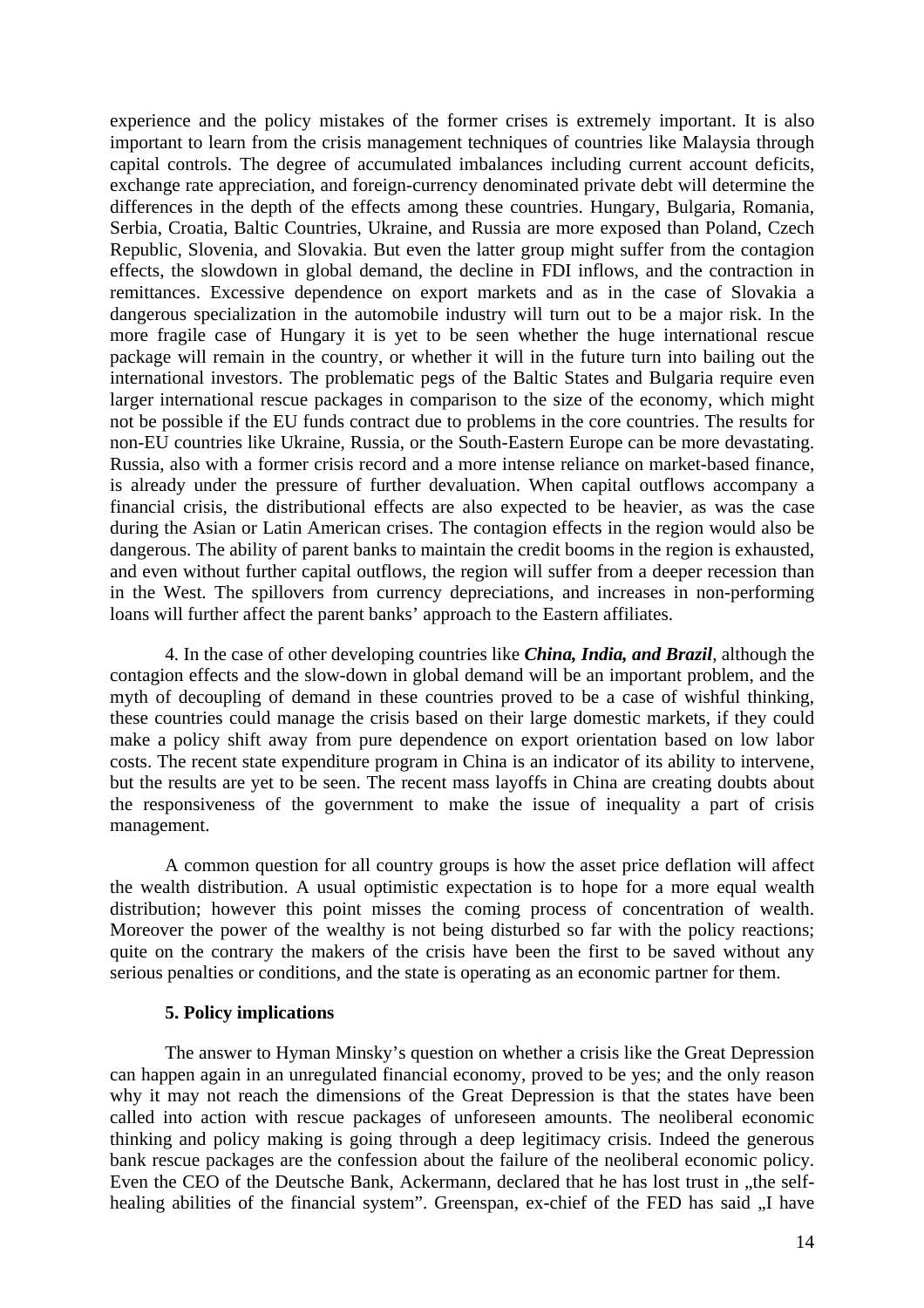experience and the policy mistakes of the former crises is extremely important. It is also important to learn from the crisis management techniques of countries like Malaysia through capital controls. The degree of accumulated imbalances including current account deficits, exchange rate appreciation, and foreign-currency denominated private debt will determine the differences in the depth of the effects among these countries. Hungary, Bulgaria, Romania, Serbia, Croatia, Baltic Countries, Ukraine, and Russia are more exposed than Poland, Czech Republic, Slovenia, and Slovakia. But even the latter group might suffer from the contagion effects, the slowdown in global demand, the decline in FDI inflows, and the contraction in remittances. Excessive dependence on export markets and as in the case of Slovakia a dangerous specialization in the automobile industry will turn out to be a major risk. In the more fragile case of Hungary it is yet to be seen whether the huge international rescue package will remain in the country, or whether it will in the future turn into bailing out the international investors. The problematic pegs of the Baltic States and Bulgaria require even larger international rescue packages in comparison to the size of the economy, which might not be possible if the EU funds contract due to problems in the core countries. The results for non-EU countries like Ukraine, Russia, or the South-Eastern Europe can be more devastating. Russia, also with a former crisis record and a more intense reliance on market-based finance, is already under the pressure of further devaluation. When capital outflows accompany a financial crisis, the distributional effects are also expected to be heavier, as was the case during the Asian or Latin American crises. The contagion effects in the region would also be dangerous. The ability of parent banks to maintain the credit booms in the region is exhausted, and even without further capital outflows, the region will suffer from a deeper recession than in the West. The spillovers from currency depreciations, and increases in non-performing loans will further affect the parent banks' approach to the Eastern affiliates.

4. In the case of other developing countries like *China, India, and Brazil*, although the contagion effects and the slow-down in global demand will be an important problem, and the myth of decoupling of demand in these countries proved to be a case of wishful thinking, these countries could manage the crisis based on their large domestic markets, if they could make a policy shift away from pure dependence on export orientation based on low labor costs. The recent state expenditure program in China is an indicator of its ability to intervene, but the results are yet to be seen. The recent mass layoffs in China are creating doubts about the responsiveness of the government to make the issue of inequality a part of crisis management.

A common question for all country groups is how the asset price deflation will affect the wealth distribution. A usual optimistic expectation is to hope for a more equal wealth distribution; however this point misses the coming process of concentration of wealth. Moreover the power of the wealthy is not being disturbed so far with the policy reactions; quite on the contrary the makers of the crisis have been the first to be saved without any serious penalties or conditions, and the state is operating as an economic partner for them.

#### **5. Policy implications**

The answer to Hyman Minsky's question on whether a crisis like the Great Depression can happen again in an unregulated financial economy, proved to be yes; and the only reason why it may not reach the dimensions of the Great Depression is that the states have been called into action with rescue packages of unforeseen amounts. The neoliberal economic thinking and policy making is going through a deep legitimacy crisis. Indeed the generous bank rescue packages are the confession about the failure of the neoliberal economic policy. Even the CEO of the Deutsche Bank, Ackermann, declared that he has lost trust in "the selfhealing abilities of the financial system". Greenspan, ex-chief of the FED has said "I have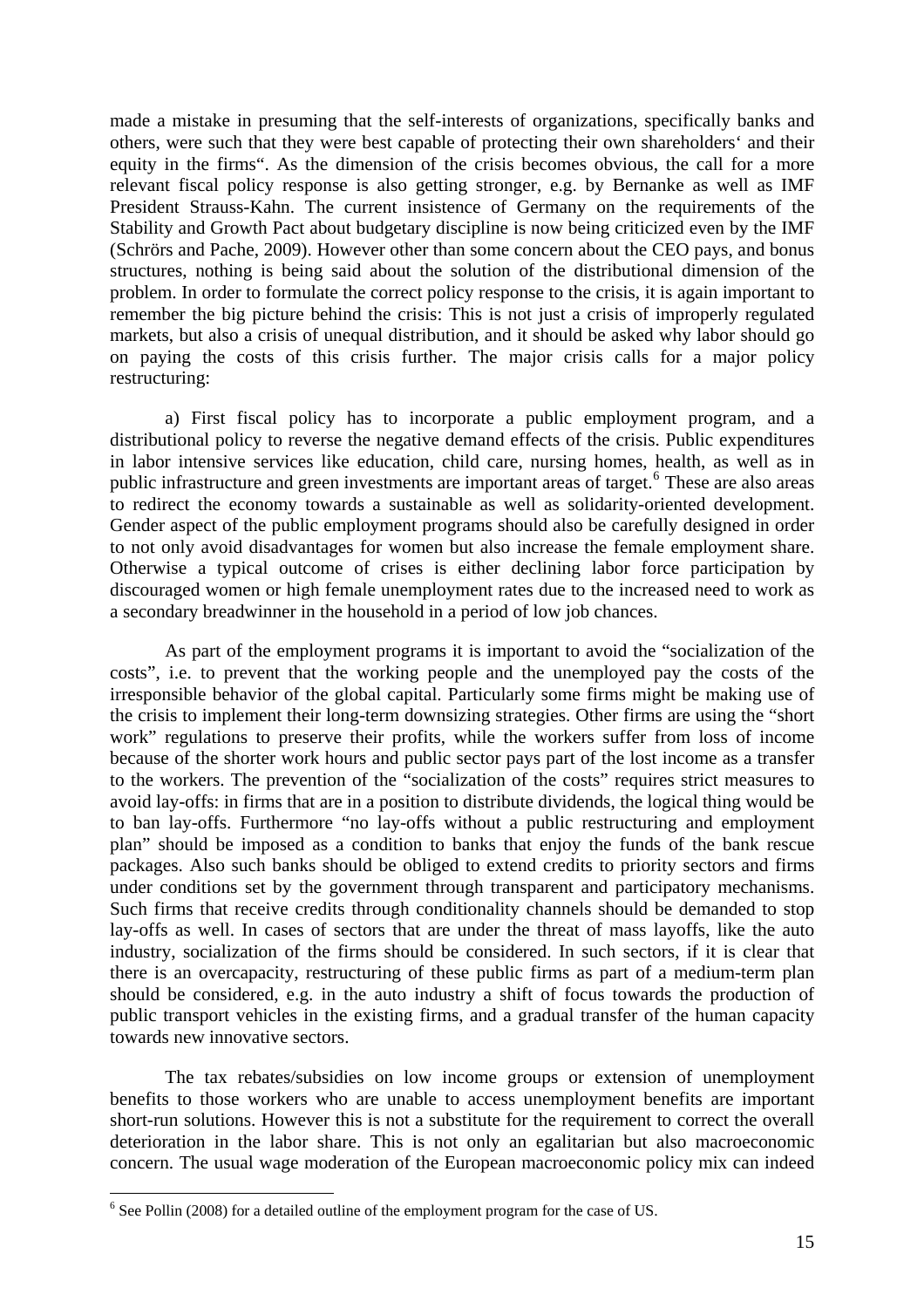<span id="page-16-0"></span>made a mistake in presuming that the self-interests of organizations, specifically banks and others, were such that they were best capable of protecting their own shareholders' and their equity in the firms". As the dimension of the crisis becomes obvious, the call for a more relevant fiscal policy response is also getting stronger, e.g. by Bernanke as well as IMF President Strauss-Kahn. The current insistence of Germany on the requirements of the Stability and Growth Pact about budgetary discipline is now being criticized even by the IMF (Schrörs and Pache, 2009). However other than some concern about the CEO pays, and bonus structures, nothing is being said about the solution of the distributional dimension of the problem. In order to formulate the correct policy response to the crisis, it is again important to remember the big picture behind the crisis: This is not just a crisis of improperly regulated markets, but also a crisis of unequal distribution, and it should be asked why labor should go on paying the costs of this crisis further. The major crisis calls for a major policy restructuring:

a) First fiscal policy has to incorporate a public employment program, and a distributional policy to reverse the negative demand effects of the crisis. Public expenditures in labor intensive services like education, child care, nursing homes, health, as well as in public infrastructure and green investments are important areas of target.<sup>[6](#page-16-0)</sup> These are also areas to redirect the economy towards a sustainable as well as solidarity-oriented development. Gender aspect of the public employment programs should also be carefully designed in order to not only avoid disadvantages for women but also increase the female employment share. Otherwise a typical outcome of crises is either declining labor force participation by discouraged women or high female unemployment rates due to the increased need to work as a secondary breadwinner in the household in a period of low job chances.

As part of the employment programs it is important to avoid the "socialization of the costs", i.e. to prevent that the working people and the unemployed pay the costs of the irresponsible behavior of the global capital. Particularly some firms might be making use of the crisis to implement their long-term downsizing strategies. Other firms are using the "short work" regulations to preserve their profits, while the workers suffer from loss of income because of the shorter work hours and public sector pays part of the lost income as a transfer to the workers. The prevention of the "socialization of the costs" requires strict measures to avoid lay-offs: in firms that are in a position to distribute dividends, the logical thing would be to ban lay-offs. Furthermore "no lay-offs without a public restructuring and employment plan" should be imposed as a condition to banks that enjoy the funds of the bank rescue packages. Also such banks should be obliged to extend credits to priority sectors and firms under conditions set by the government through transparent and participatory mechanisms. Such firms that receive credits through conditionality channels should be demanded to stop lay-offs as well. In cases of sectors that are under the threat of mass layoffs, like the auto industry, socialization of the firms should be considered. In such sectors, if it is clear that there is an overcapacity, restructuring of these public firms as part of a medium-term plan should be considered, e.g. in the auto industry a shift of focus towards the production of public transport vehicles in the existing firms, and a gradual transfer of the human capacity towards new innovative sectors.

The tax rebates/subsidies on low income groups or extension of unemployment benefits to those workers who are unable to access unemployment benefits are important short-run solutions. However this is not a substitute for the requirement to correct the overall deterioration in the labor share. This is not only an egalitarian but also macroeconomic concern. The usual wage moderation of the European macroeconomic policy mix can indeed

1

 $6$  See Pollin (2008) for a detailed outline of the employment program for the case of US.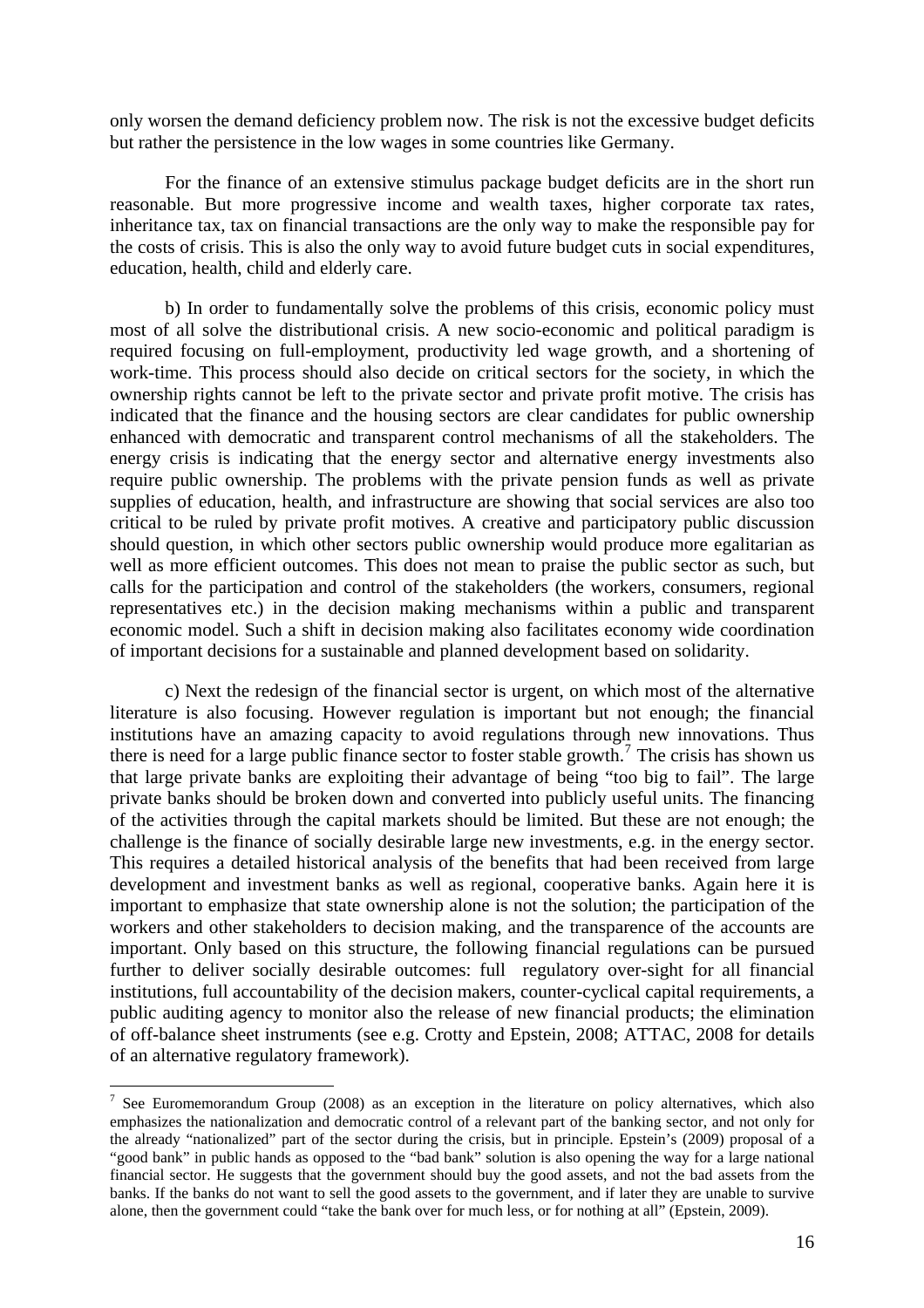<span id="page-17-0"></span>only worsen the demand deficiency problem now. The risk is not the excessive budget deficits but rather the persistence in the low wages in some countries like Germany.

For the finance of an extensive stimulus package budget deficits are in the short run reasonable. But more progressive income and wealth taxes, higher corporate tax rates, inheritance tax, tax on financial transactions are the only way to make the responsible pay for the costs of crisis. This is also the only way to avoid future budget cuts in social expenditures, education, health, child and elderly care.

b) In order to fundamentally solve the problems of this crisis, economic policy must most of all solve the distributional crisis. A new socio-economic and political paradigm is required focusing on full-employment, productivity led wage growth, and a shortening of work-time. This process should also decide on critical sectors for the society, in which the ownership rights cannot be left to the private sector and private profit motive. The crisis has indicated that the finance and the housing sectors are clear candidates for public ownership enhanced with democratic and transparent control mechanisms of all the stakeholders. The energy crisis is indicating that the energy sector and alternative energy investments also require public ownership. The problems with the private pension funds as well as private supplies of education, health, and infrastructure are showing that social services are also too critical to be ruled by private profit motives. A creative and participatory public discussion should question, in which other sectors public ownership would produce more egalitarian as well as more efficient outcomes. This does not mean to praise the public sector as such, but calls for the participation and control of the stakeholders (the workers, consumers, regional representatives etc.) in the decision making mechanisms within a public and transparent economic model. Such a shift in decision making also facilitates economy wide coordination of important decisions for a sustainable and planned development based on solidarity.

c) Next the redesign of the financial sector is urgent, on which most of the alternative literature is also focusing. However regulation is important but not enough; the financial institutions have an amazing capacity to avoid regulations through new innovations. Thus there is need for a large public finance sector to foster stable growth.<sup>[7](#page-17-0)</sup> The crisis has shown us that large private banks are exploiting their advantage of being "too big to fail". The large private banks should be broken down and converted into publicly useful units. The financing of the activities through the capital markets should be limited. But these are not enough; the challenge is the finance of socially desirable large new investments, e.g. in the energy sector. This requires a detailed historical analysis of the benefits that had been received from large development and investment banks as well as regional, cooperative banks. Again here it is important to emphasize that state ownership alone is not the solution; the participation of the workers and other stakeholders to decision making, and the transparence of the accounts are important. Only based on this structure, the following financial regulations can be pursued further to deliver socially desirable outcomes: full regulatory over-sight for all financial institutions, full accountability of the decision makers, counter-cyclical capital requirements, a public auditing agency to monitor also the release of new financial products; the elimination of off-balance sheet instruments (see e.g. Crotty and Epstein, 2008; ATTAC, 2008 for details of an alternative regulatory framework).

1

<sup>&</sup>lt;sup>7</sup> See Euromemorandum Group (2008) as an exception in the literature on policy alternatives, which also emphasizes the nationalization and democratic control of a relevant part of the banking sector, and not only for the already "nationalized" part of the sector during the crisis, but in principle. Epstein's (2009) proposal of a "good bank" in public hands as opposed to the "bad bank" solution is also opening the way for a large national financial sector. He suggests that the government should buy the good assets, and not the bad assets from the banks. If the banks do not want to sell the good assets to the government, and if later they are unable to survive alone, then the government could "take the bank over for much less, or for nothing at all" (Epstein, 2009).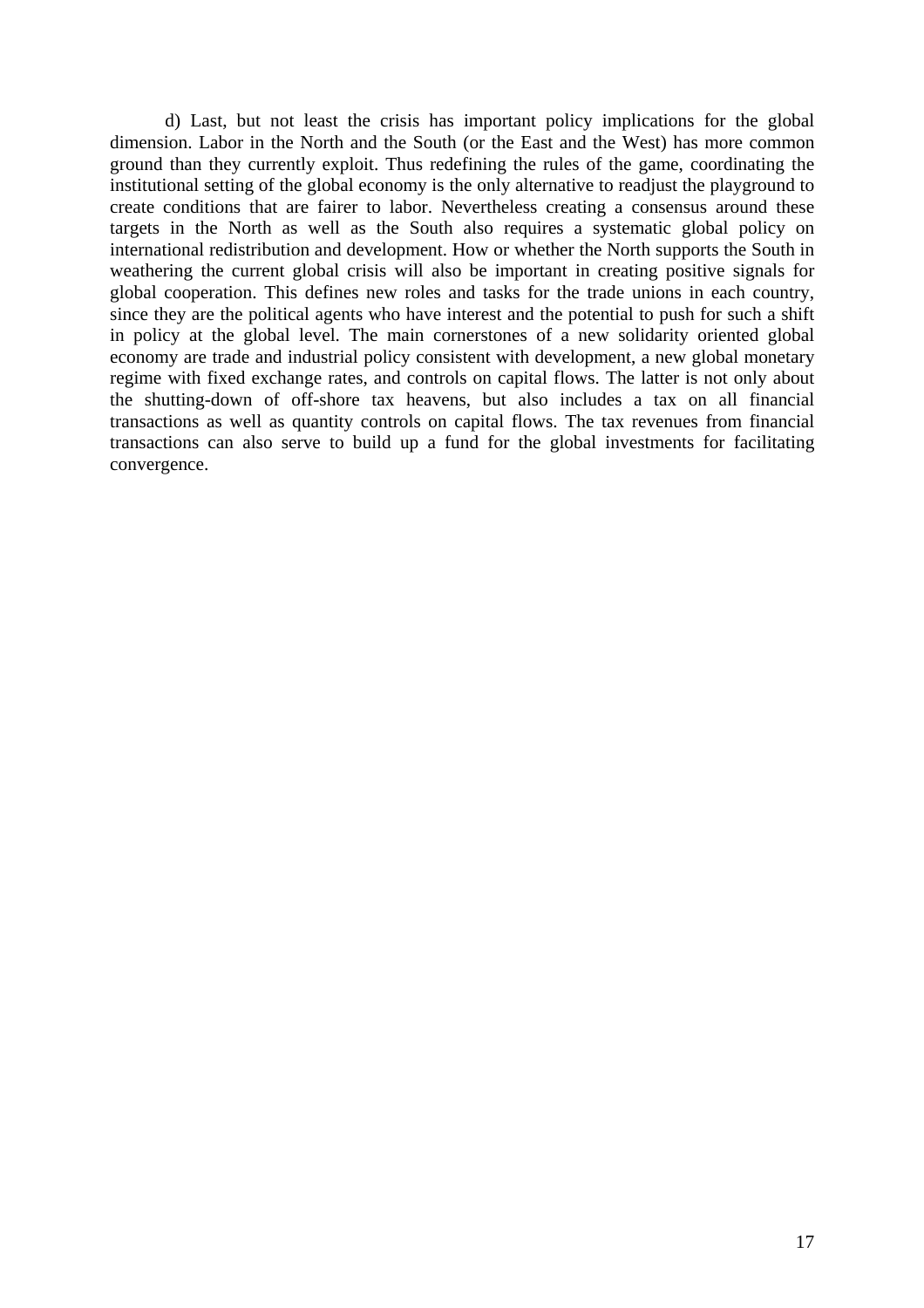d) Last, but not least the crisis has important policy implications for the global dimension. Labor in the North and the South (or the East and the West) has more common ground than they currently exploit. Thus redefining the rules of the game, coordinating the institutional setting of the global economy is the only alternative to readjust the playground to create conditions that are fairer to labor. Nevertheless creating a consensus around these targets in the North as well as the South also requires a systematic global policy on international redistribution and development. How or whether the North supports the South in weathering the current global crisis will also be important in creating positive signals for global cooperation. This defines new roles and tasks for the trade unions in each country, since they are the political agents who have interest and the potential to push for such a shift in policy at the global level. The main cornerstones of a new solidarity oriented global economy are trade and industrial policy consistent with development, a new global monetary regime with fixed exchange rates, and controls on capital flows. The latter is not only about the shutting-down of off-shore tax heavens, but also includes a tax on all financial transactions as well as quantity controls on capital flows. The tax revenues from financial transactions can also serve to build up a fund for the global investments for facilitating convergence.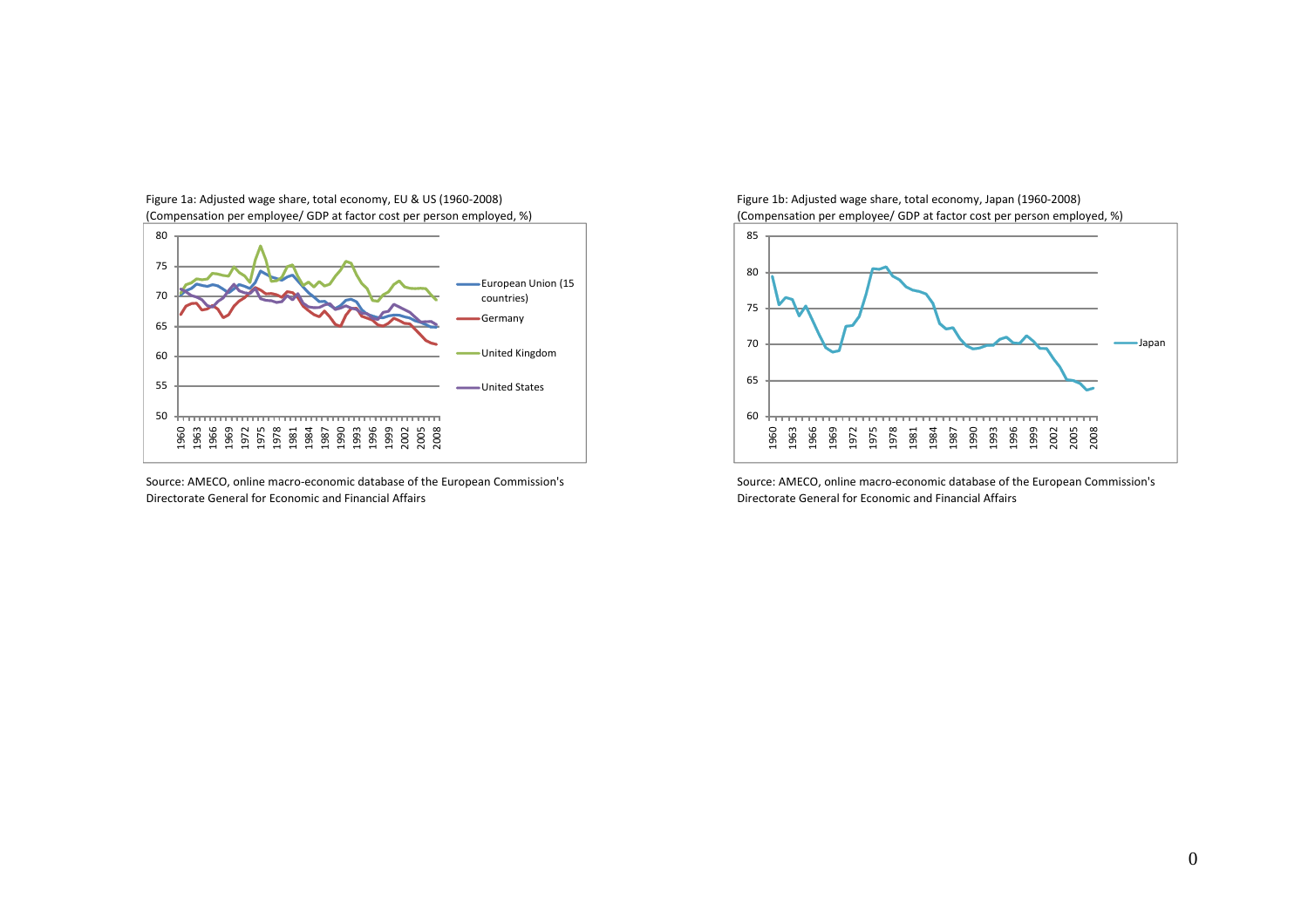

Figure 1a: Adjusted wage share, total economy, EU & US (1960‐2008) Figure 1b: Adjusted wage share, total economy, Japan (1960‐2008)

Source: AMECO, online macro-economic database of the European Commission's Directorate General for Economic and

(Compensation per employee/ GDP at factor cost per person employed, %) (Compensation per employee/ GDP at factor cost per person employed, %)



Source: AMECO, online macro-economic database of the European Commission's Financial Affairs Directorate General for Economic and Financial Affairs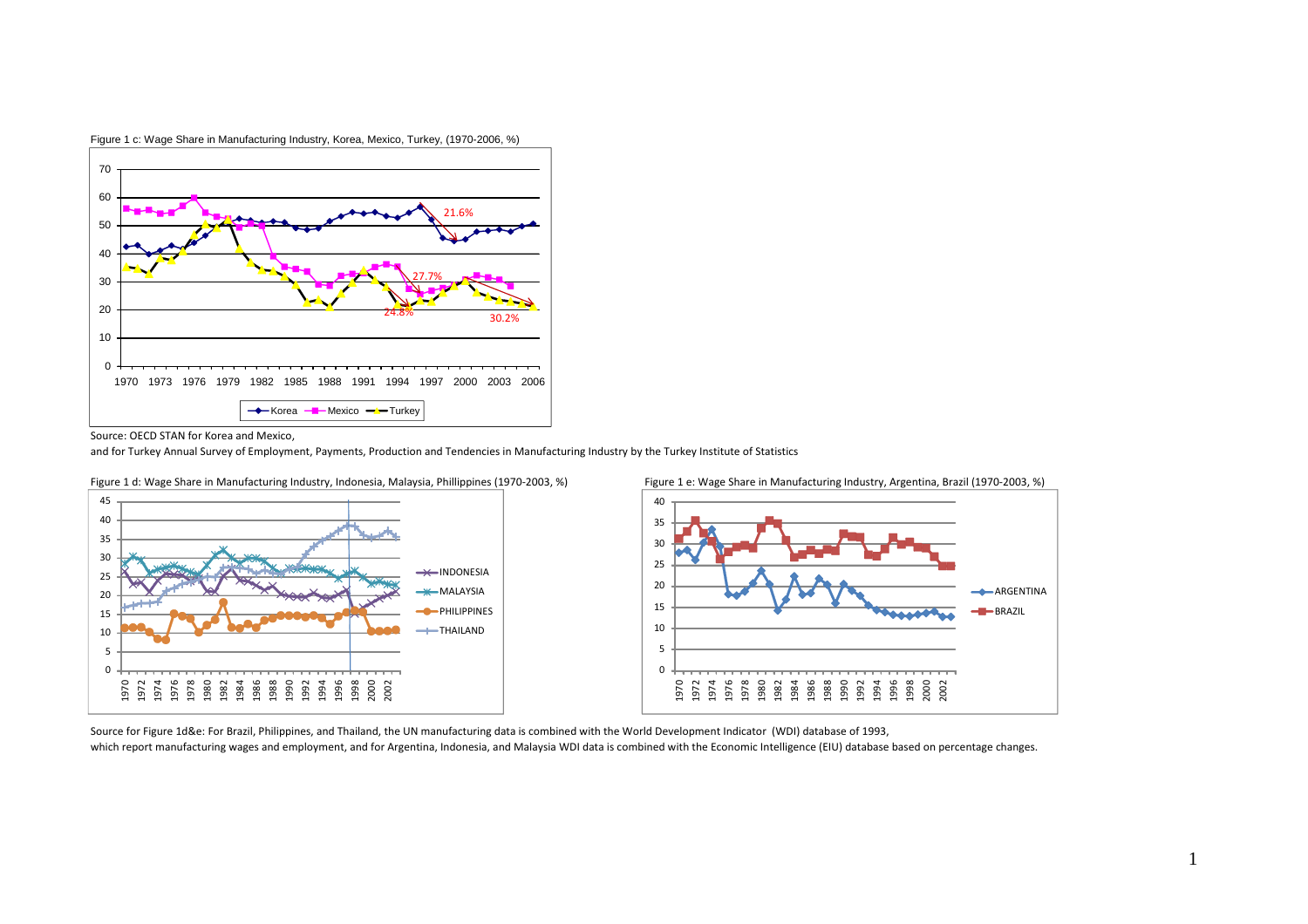

Figure 1 c: Wage Share in Manufacturing Industry, Korea, Mexico, Turkey, (1970-2006, %)

Source: OECD STAN for Korea and Mexico,

and for Turkey Annual Survey of Employment, Payments, Production and Tendencies in Manufacturing Industry by the Turkey Institute of Statistics





Source for Figure 1d&e: For Brazil, Philippines, and Thailand, the UN manufacturing data is combined with the World Development Indicator (WDI) database of 1993, which report manufacturing wages and employment, and for Argentina, Indonesia, and Malaysia WDI data is combined with the Economic Intelligence (EIU) database based on percentage changes.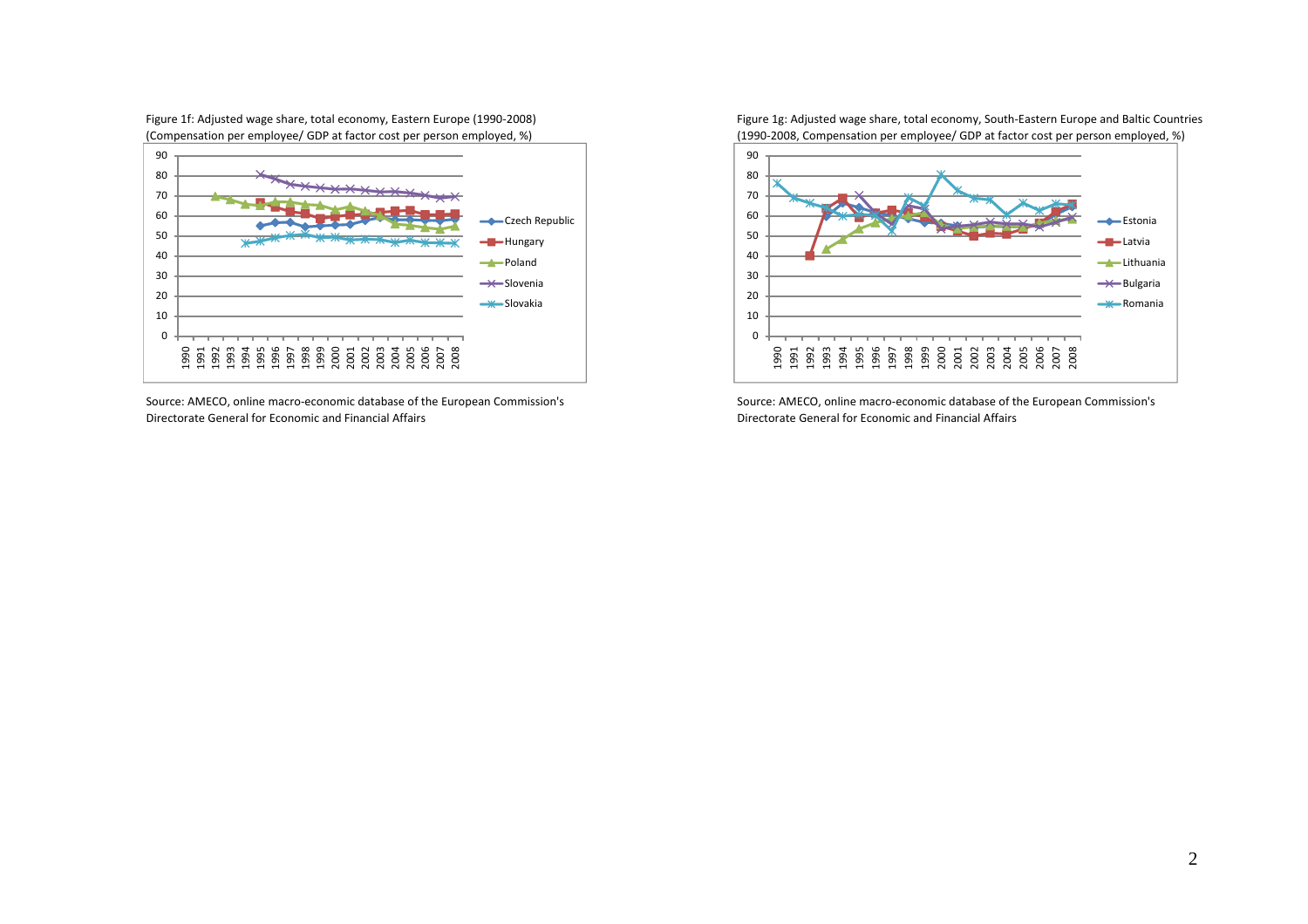Figure 1f: Adjusted wage share, total economy, Eastern Europe (1990‐2008) Figure 1g: Adjusted wage share, total economy, South‐Eastern Europe and Baltic Countries



Source: AMECO, online macro-economic database of the European Commission's Directorate General for Economic and

(Compensation per employee/ GDP at factor cost per person employed, %) (1990‐2008, Compensation per employee/ GDP at factor cost per person employed, %)



Source: AMECO, online macro-economic database of the European Commission's Financial Affairs Directorate General for Economic and Financial Affairs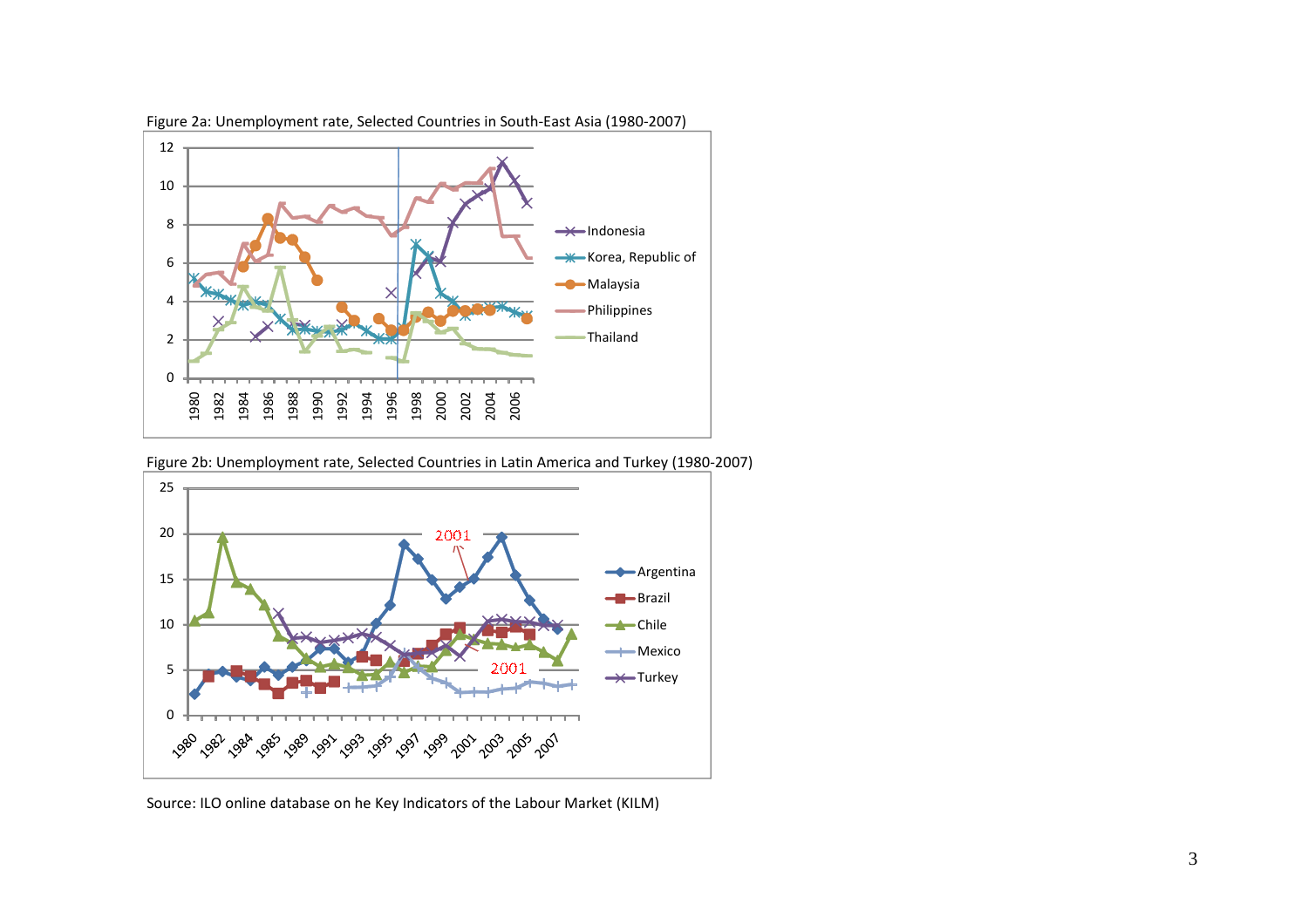

Figure 2a: Unemployment rate, Selected Countries in South‐East Asia (1980‐2007)

Figure 2b: Unemployment rate, Selected Countries in Latin America and Turkey (1980‐2007)



Source: ILO online database on he Key Indicators of the Labour Market (KILM)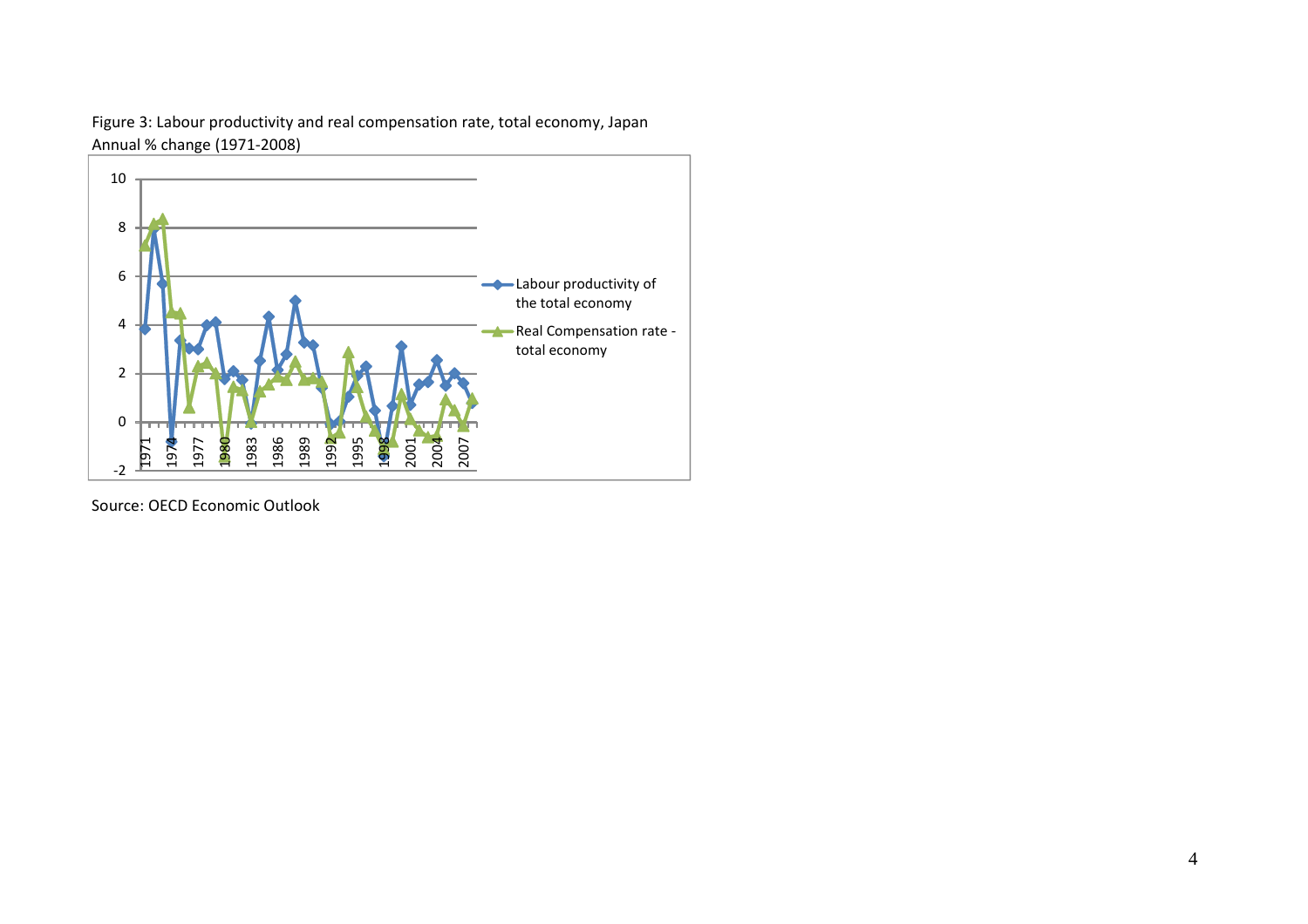

Figure 3: Labour productivity and real compensation rate, total economy, Japan Annual % change (1971‐2008)

Source: OECD Economic Outlook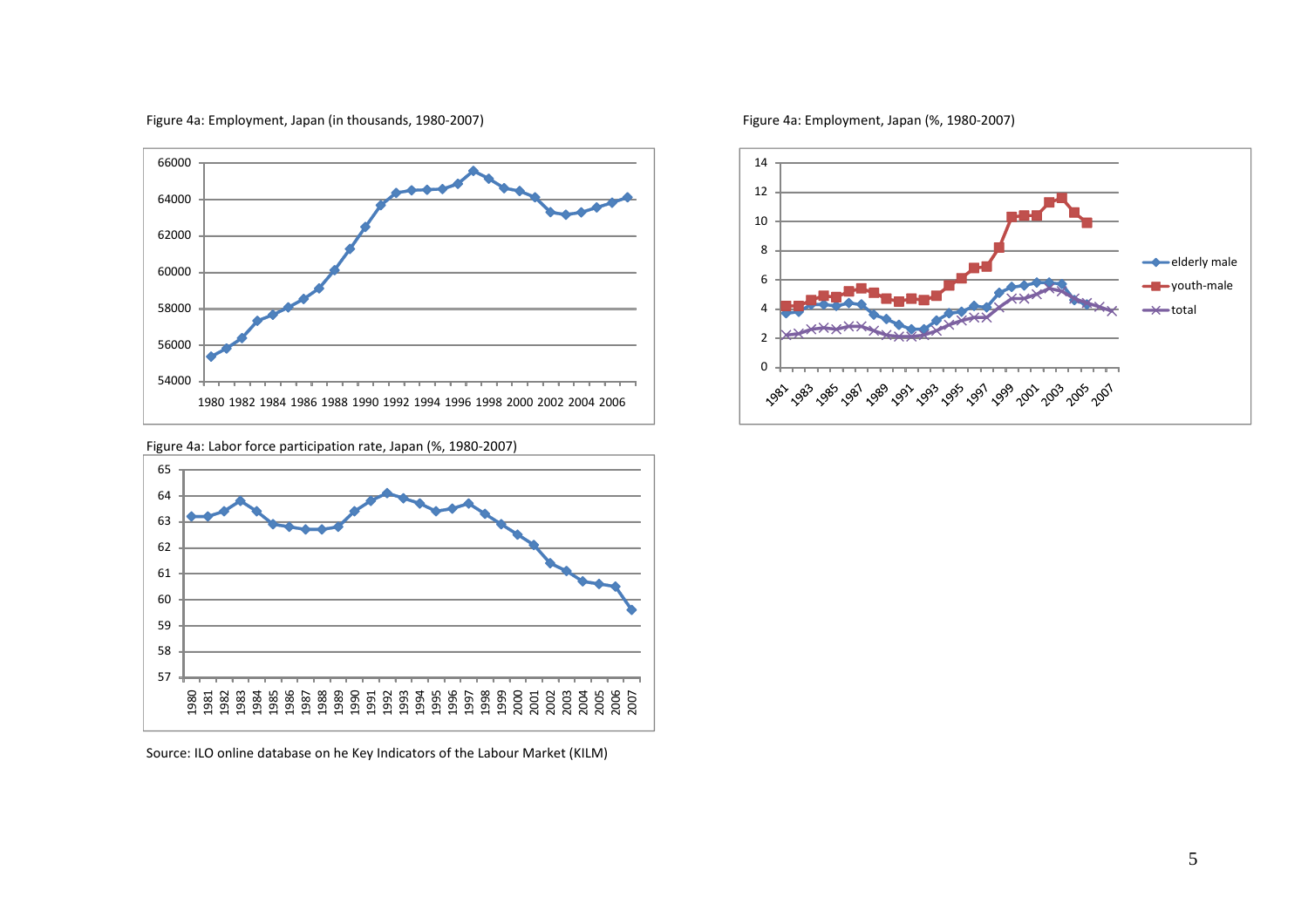

#### Figure 4a: Employment, Japan (in thousands, 1980‐2007) Figure 4a: Employment, Japan (%, 1980‐2007)

Figure 4a: Labor force participation rate, Japan (%, 1980‐2007)



Source: ILO online database on he Key Indicators of the Labour Market (KILM)

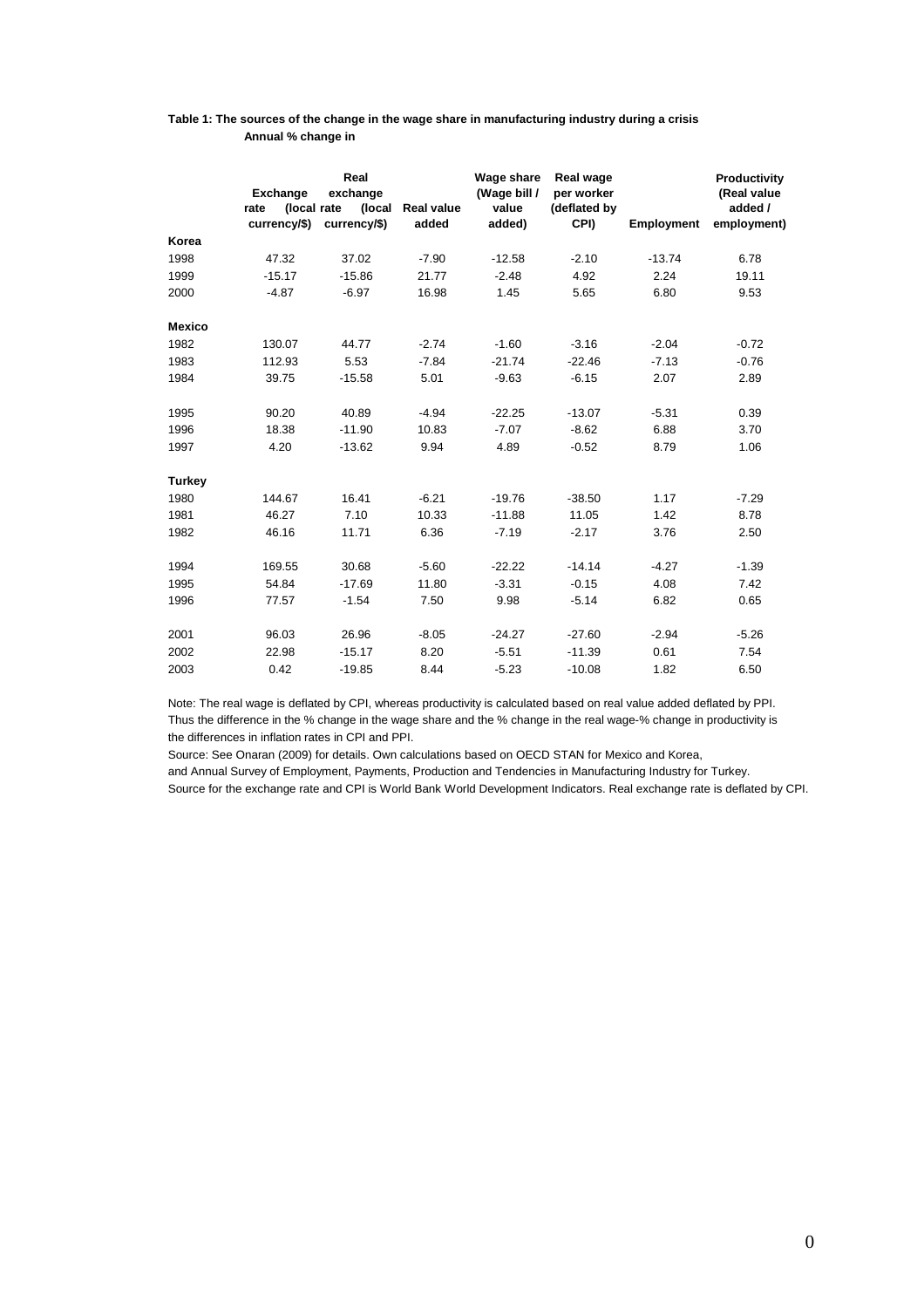#### **Table 1: The sources of the change in the wage share in manufacturing industry during a crisis Annual % change in**

|               | <b>Exchange</b><br>(local rate<br>rate<br>currency/\$) | Real<br>exchange<br>(local<br>currency/\$) | Real value<br>added | Wage share<br>(Wage bill /<br>value<br>added) | Real wage<br>per worker<br>(deflated by<br>CPI) | <b>Employment</b> | Productivity<br>(Real value<br>added /<br>employment) |
|---------------|--------------------------------------------------------|--------------------------------------------|---------------------|-----------------------------------------------|-------------------------------------------------|-------------------|-------------------------------------------------------|
| Korea         |                                                        |                                            |                     |                                               |                                                 |                   |                                                       |
| 1998          | 47.32                                                  | 37.02                                      | $-7.90$             | $-12.58$                                      | $-2.10$                                         | $-13.74$          | 6.78                                                  |
| 1999          | $-15.17$                                               | $-15.86$                                   | 21.77               | $-2.48$                                       | 4.92                                            | 2.24              | 19.11                                                 |
| 2000          | $-4.87$                                                | $-6.97$                                    | 16.98               | 1.45                                          | 5.65                                            | 6.80              | 9.53                                                  |
| <b>Mexico</b> |                                                        |                                            |                     |                                               |                                                 |                   |                                                       |
| 1982          | 130.07                                                 | 44.77                                      | $-2.74$             | $-1.60$                                       | $-3.16$                                         | $-2.04$           | $-0.72$                                               |
| 1983          | 112.93                                                 | 5.53                                       | $-7.84$             | $-21.74$                                      | $-22.46$                                        | $-7.13$           | $-0.76$                                               |
| 1984          | 39.75                                                  | $-15.58$                                   | 5.01                | $-9.63$                                       | $-6.15$                                         | 2.07              | 2.89                                                  |
| 1995          | 90.20                                                  | 40.89                                      | $-4.94$             | $-22.25$                                      | $-13.07$                                        | $-5.31$           | 0.39                                                  |
| 1996          | 18.38                                                  | $-11.90$                                   | 10.83               | $-7.07$                                       | $-8.62$                                         | 6.88              | 3.70                                                  |
| 1997          | 4.20                                                   | $-13.62$                                   | 9.94                | 4.89                                          | $-0.52$                                         | 8.79              | 1.06                                                  |
| <b>Turkey</b> |                                                        |                                            |                     |                                               |                                                 |                   |                                                       |
| 1980          | 144.67                                                 | 16.41                                      | $-6.21$             | $-19.76$                                      | $-38.50$                                        | 1.17              | $-7.29$                                               |
| 1981          | 46.27                                                  | 7.10                                       | 10.33               | $-11.88$                                      | 11.05                                           | 1.42              | 8.78                                                  |
| 1982          | 46.16                                                  | 11.71                                      | 6.36                | $-7.19$                                       | $-2.17$                                         | 3.76              | 2.50                                                  |
| 1994          | 169.55                                                 | 30.68                                      | $-5.60$             | $-22.22$                                      | $-14.14$                                        | $-4.27$           | $-1.39$                                               |
| 1995          | 54.84                                                  | $-17.69$                                   | 11.80               | $-3.31$                                       | $-0.15$                                         | 4.08              | 7.42                                                  |
| 1996          | 77.57                                                  | $-1.54$                                    | 7.50                | 9.98                                          | $-5.14$                                         | 6.82              | 0.65                                                  |
| 2001          | 96.03                                                  | 26.96                                      | $-8.05$             | $-24.27$                                      | $-27.60$                                        | $-2.94$           | $-5.26$                                               |
| 2002          | 22.98                                                  | $-15.17$                                   | 8.20                | $-5.51$                                       | $-11.39$                                        | 0.61              | 7.54                                                  |
| 2003          | 0.42                                                   | $-19.85$                                   | 8.44                | $-5.23$                                       | $-10.08$                                        | 1.82              | 6.50                                                  |

Note: The real wage is deflated by CPI, whereas productivity is calculated based on real value added deflated by PPI. Thus the difference in the % change in the wage share and the % change in the real wage-% change in productivity is the differences in inflation rates in CPI and PPI.

Source: See Onaran (2009) for details. Own calculations based on OECD STAN for Mexico and Korea,

and Annual Survey of Employment, Payments, Production and Tendencies in Manufacturing Industry for Turkey. Source for the exchange rate and CPI is World Bank World Development Indicators. Real exchange rate is deflated by CPI.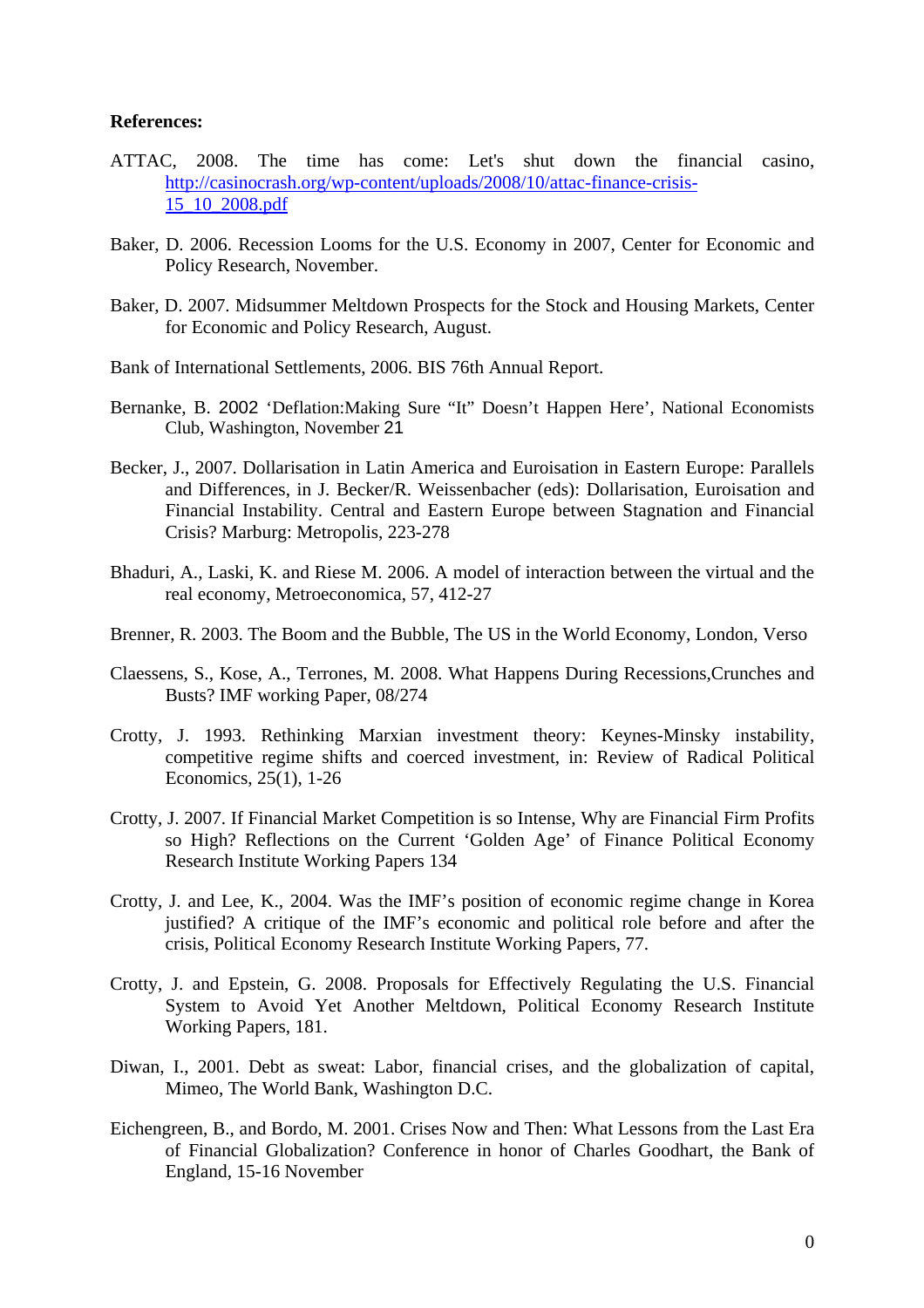#### **References:**

- ATTAC, 2008. The time has come: Let's shut down the financial casino, [http://casinocrash.org/wp-content/uploads/2008/10/attac-finance-crisis-](http://casinocrash.org/wp-content/uploads/2008/10/attac-finance-crisis-15_10_2008.pdf)[15\\_10\\_2008.pdf](http://casinocrash.org/wp-content/uploads/2008/10/attac-finance-crisis-15_10_2008.pdf)
- Baker, D. 2006. Recession Looms for the U.S. Economy in 2007, Center for Economic and Policy Research, November.
- Baker, D. 2007. Midsummer Meltdown Prospects for the Stock and Housing Markets, Center for Economic and Policy Research, August.
- Bank of International Settlements, 2006. BIS 76th Annual Report.
- Bernanke, B. 2002 'Deflation:Making Sure "It" Doesn't Happen Here', National Economists Club, Washington, November 21
- Becker, J., 2007. Dollarisation in Latin America and Euroisation in Eastern Europe: Parallels and Differences, in J. Becker/R. Weissenbacher (eds): Dollarisation, Euroisation and Financial Instability. Central and Eastern Europe between Stagnation and Financial Crisis? Marburg: Metropolis, 223-278
- Bhaduri, A., Laski, K. and Riese M. 2006. A model of interaction between the virtual and the real economy, Metroeconomica, 57, 412-27
- Brenner, R. 2003. The Boom and the Bubble, The US in the World Economy, London, Verso
- Claessens, S., Kose, A., Terrones, M. 2008. What Happens During Recessions,Crunches and Busts? IMF working Paper, 08/274
- Crotty, J. 1993. Rethinking Marxian investment theory: Keynes-Minsky instability, competitive regime shifts and coerced investment, in: Review of Radical Political Economics, 25(1), 1-26
- Crotty, J. 2007. If Financial Market Competition is so Intense, Why are Financial Firm Profits so High? Reflections on the Current 'Golden Age' of Finance Political Economy Research Institute Working Papers 134
- Crotty, J. and Lee, K., 2004. Was the IMF's position of economic regime change in Korea justified? A critique of the IMF's economic and political role before and after the crisis, Political Economy Research Institute Working Papers, 77.
- Crotty, J. and Epstein, G. 2008. Proposals for Effectively Regulating the U.S. Financial System to Avoid Yet Another Meltdown, Political Economy Research Institute Working Papers, 181.
- Diwan, I., 2001. Debt as sweat: Labor, financial crises, and the globalization of capital, Mimeo, The World Bank, Washington D.C.
- Eichengreen, B., and Bordo, M. 2001. Crises Now and Then: What Lessons from the Last Era of Financial Globalization? Conference in honor of Charles Goodhart, the Bank of England, 15-16 November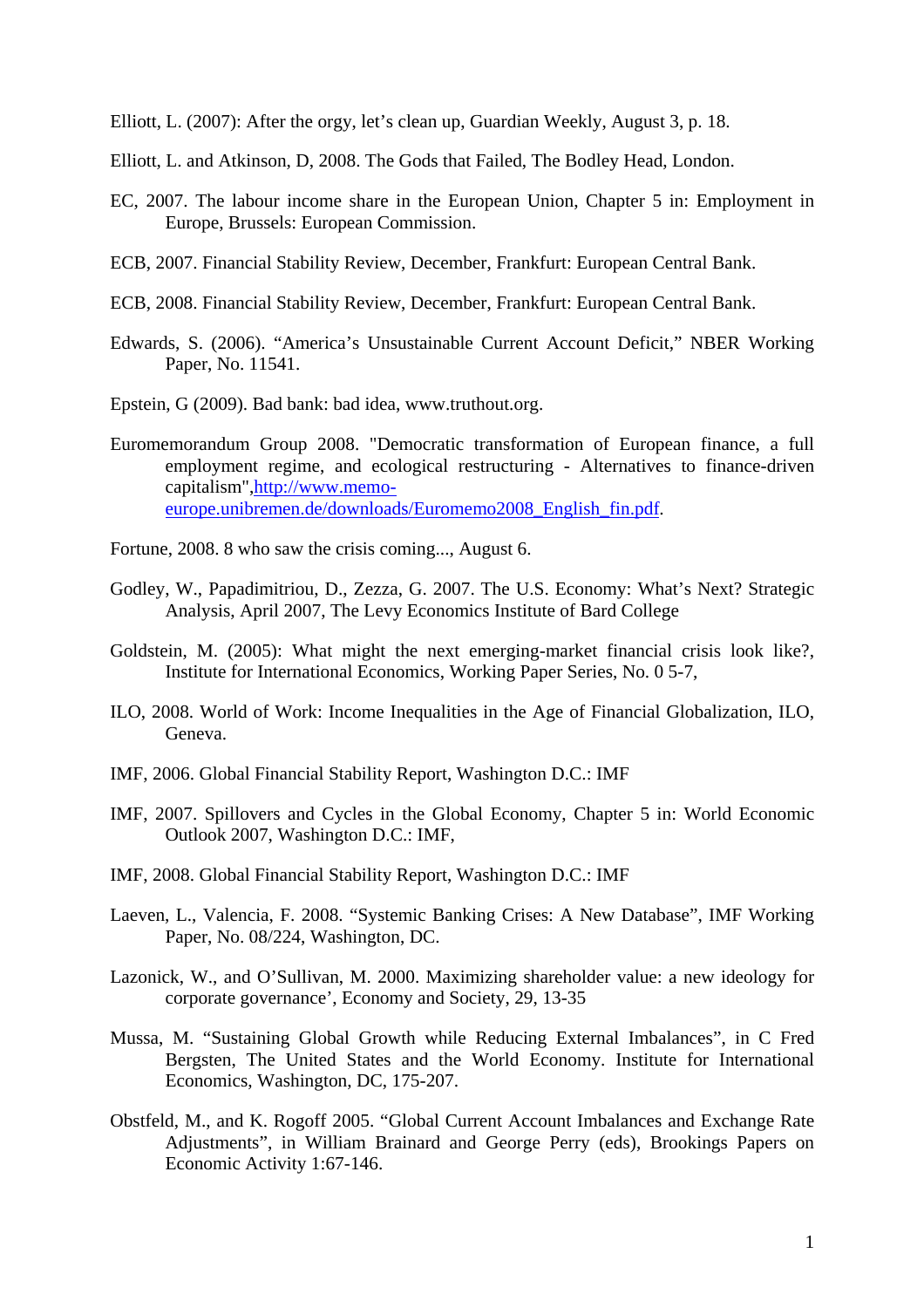Elliott, L. (2007): After the orgy, let's clean up, Guardian Weekly, August 3, p. 18.

- Elliott, L. and Atkinson, D, 2008. The Gods that Failed, The Bodley Head, London.
- EC, 2007. The labour income share in the European Union, Chapter 5 in: Employment in Europe, Brussels: European Commission.
- ECB, 2007. Financial Stability Review, December, Frankfurt: European Central Bank.
- ECB, 2008. Financial Stability Review, December, Frankfurt: European Central Bank.
- Edwards, S. (2006). "America's Unsustainable Current Account Deficit," NBER Working Paper, No. 11541.
- Epstein, G (2009). Bad bank: bad idea, www.truthout.org.
- Euromemorandum Group 2008. "Democratic transformation of European finance, a full employment regime, and ecological restructuring - Alternatives to finance-driven capitalism",[http://www.memo](http://www.memo-europe.unibremen.de/downloads/Euromemo2008_English_fin.pdf)[europe.unibremen.de/downloads/Euromemo2008\\_English\\_fin.pdf.](http://www.memo-europe.unibremen.de/downloads/Euromemo2008_English_fin.pdf)
- Fortune, 2008. [8 who saw the crisis coming...](http://money.cnn.com/galleries/2008/fortune/0808/gallery.whosawitcoming.fortune/index.html), August 6.
- Godley, W., Papadimitriou, D., Zezza, G. 2007. The U.S. Economy: What's Next? Strategic Analysis, April 2007, The Levy Economics Institute of Bard College
- Goldstein, M. (2005): What might the next emerging-market financial crisis look like?, Institute for International Economics, Working Paper Series, No. 0 5-7,
- ILO, 2008. World of Work: Income Inequalities in the Age of Financial Globalization, ILO, Geneva.
- IMF, 2006. Global Financial Stability Report, Washington D.C.: IMF
- IMF, 2007. Spillovers and Cycles in the Global Economy, Chapter 5 in: World Economic Outlook 2007, Washington D.C.: IMF,
- IMF, 2008. Global Financial Stability Report, Washington D.C.: IMF
- Laeven, L., Valencia, F. 2008. "Systemic Banking Crises: A New Database", IMF Working Paper, No. 08/224, Washington, DC.
- Lazonick, W., and O'Sullivan, M. 2000. Maximizing shareholder value: a new ideology for corporate governance', Economy and Society, 29, 13-35
- Mussa, M. "Sustaining Global Growth while Reducing External Imbalances", in C Fred Bergsten, The United States and the World Economy. Institute for International Economics, Washington, DC, 175-207.
- Obstfeld, M., and K. Rogoff 2005. "Global Current Account Imbalances and Exchange Rate Adjustments", in William Brainard and George Perry (eds), Brookings Papers on Economic Activity 1:67-146.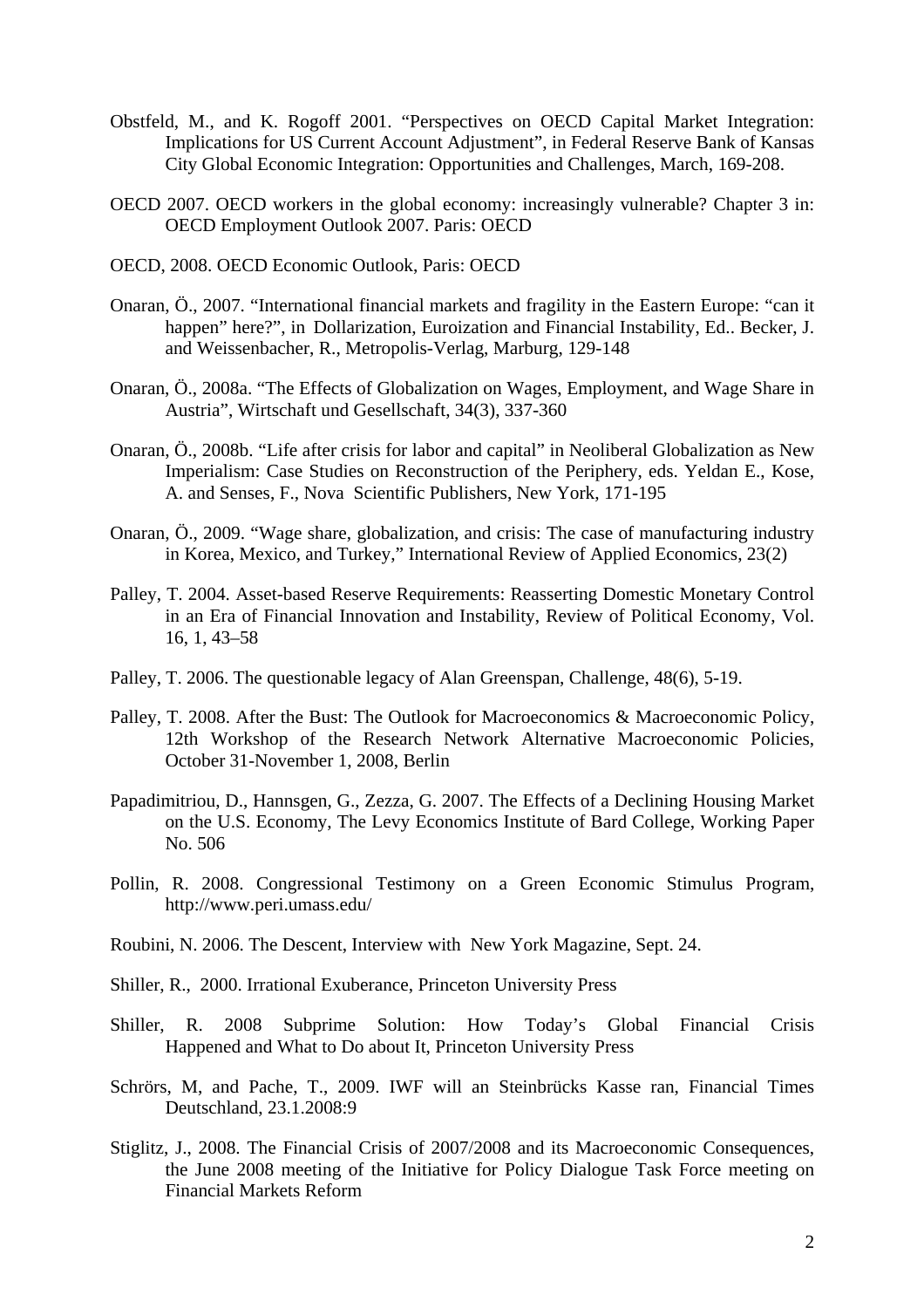- Obstfeld, M., and K. Rogoff 2001. "Perspectives on OECD Capital Market Integration: Implications for US Current Account Adjustment", in Federal Reserve Bank of Kansas City Global Economic Integration: Opportunities and Challenges, March, 169-208.
- OECD 2007. OECD workers in the global economy: increasingly vulnerable? Chapter 3 in: OECD Employment Outlook 2007. Paris: OECD
- OECD, 2008. OECD Economic Outlook, Paris: OECD
- Onaran, Ö., 2007. "International financial markets and fragility in the Eastern Europe: "can it happen" here?", in Dollarization, Euroization and Financial Instability, Ed.. Becker, J. and Weissenbacher, R., Metropolis-Verlag, Marburg, 129-148
- Onaran, Ö., 2008a. "The Effects of Globalization on Wages, Employment, and Wage Share in Austria", Wirtschaft und Gesellschaft, 34(3), 337-360
- Onaran, Ö., 2008b. "Life after crisis for labor and capital" in Neoliberal Globalization as New Imperialism: Case Studies on Reconstruction of the Periphery, eds. Yeldan E., Kose, A. and Senses, F., Nova Scientific Publishers, New York, 171-195
- Onaran, Ö., 2009. "Wage share, globalization, and crisis: The case of manufacturing industry in Korea, Mexico, and Turkey," International Review of Applied Economics, 23(2)
- Palley, T. 2004. Asset-based Reserve Requirements: Reasserting Domestic Monetary Control in an Era of Financial Innovation and Instability, Review of Political Economy, Vol. 16, 1, 43–58
- Palley, T. 2006. The questionable legacy of Alan Greenspan, Challenge, 48(6), 5-19.
- Palley, T. 2008. After the Bust: The Outlook for Macroeconomics & Macroeconomic Policy, 12th Workshop of the Research Network Alternative Macroeconomic Policies, October 31-November 1, 2008, Berlin
- Papadimitriou, D., Hannsgen, G., Zezza, G. 2007. The Effects of a Declining Housing Market on the U.S. Economy, The Levy Economics Institute of Bard College, Working Paper No. 506
- Pollin, R. 2008. Congressional Testimony on a Green Economic Stimulus Program, <http://www.peri.umass.edu/>
- Roubini, N. 2006. The Descent, Interview with New York Magazine, Sept. 24.
- Shiller, R., 2000. Irrational Exuberance, Princeton University Press
- Shiller, R. 2008 Subprime Solution: How Today's Global Financial Crisis Happened and What to Do about It, Princeton University Press
- Schrörs, M, and Pache, T., 2009. IWF will an Steinbrücks Kasse ran, Financial Times Deutschland, 23.1.2008:9
- Stiglitz, J., 2008. [The Financial Crisis of 2007/2008 and its Macroeconomic Consequences](http://www2.gsb.columbia.edu/faculty/jstiglitz/download/papers/2008_Financial_Crisis.pdf), the June 2008 meeting of the Initiative for Policy Dialogue Task Force meeting on Financial Markets Reform